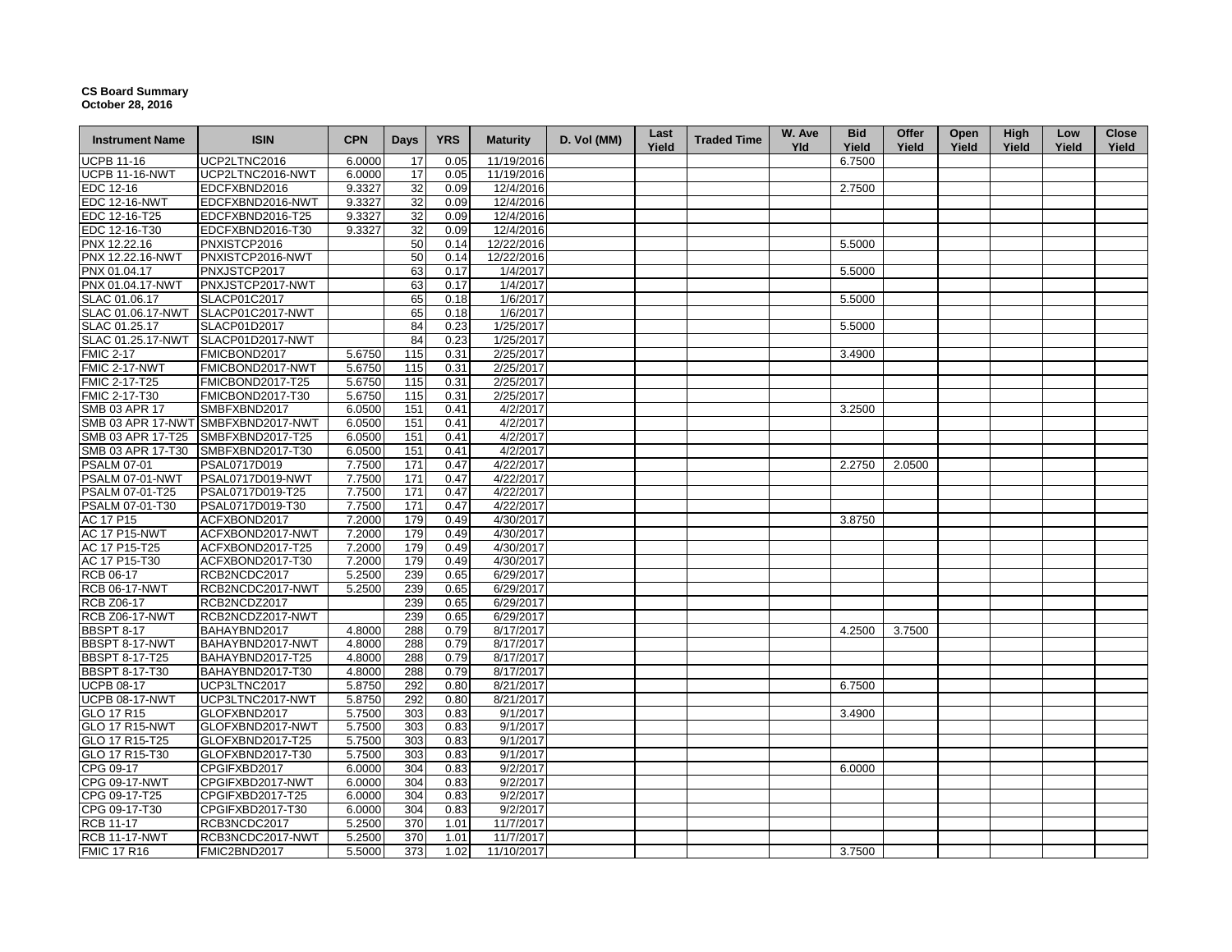## **CS Board Summary October 28, 2016**

| <b>Instrument Name</b> | <b>ISIN</b>                        | <b>CPN</b> | Days | <b>YRS</b> | <b>Maturity</b> | D. Vol (MM) | Last<br>Yield | <b>Traded Time</b> | W. Ave<br><b>Yld</b> | <b>Bid</b><br>Yield | Offer<br>Yield | Open<br>Yield | High<br>Yield | Low<br>Yield | Close<br>Yield |
|------------------------|------------------------------------|------------|------|------------|-----------------|-------------|---------------|--------------------|----------------------|---------------------|----------------|---------------|---------------|--------------|----------------|
| <b>UCPB 11-16</b>      | UCP2LTNC2016                       | 6.0000     | 17   | 0.05       | 11/19/2016      |             |               |                    |                      | 6.7500              |                |               |               |              |                |
| <b>UCPB 11-16-NWT</b>  | UCP2LTNC2016-NWT                   | 6.0000     | 17   | 0.05       | 11/19/2016      |             |               |                    |                      |                     |                |               |               |              |                |
| EDC 12-16              | EDCFXBND2016                       | 9.3327     | 32   | 0.09       | 12/4/2016       |             |               |                    |                      | 2.7500              |                |               |               |              |                |
| <b>EDC 12-16-NWT</b>   | EDCFXBND2016-NWT                   | 9.3327     | 32   | 0.09       | 12/4/2016       |             |               |                    |                      |                     |                |               |               |              |                |
| EDC 12-16-T25          | EDCFXBND2016-T25                   | 9.3327     | 32   | 0.09       | 12/4/2016       |             |               |                    |                      |                     |                |               |               |              |                |
| EDC 12-16-T30          | EDCFXBND2016-T30                   | 9.3327     | 32   | 0.09       | 12/4/2016       |             |               |                    |                      |                     |                |               |               |              |                |
| PNX 12.22.16           | PNXISTCP2016                       |            | 50   | 0.14       | 12/22/2016      |             |               |                    |                      | 5.5000              |                |               |               |              |                |
| PNX 12.22.16-NWT       | PNXISTCP2016-NWT                   |            | 50   | 0.14       | 12/22/2016      |             |               |                    |                      |                     |                |               |               |              |                |
| PNX 01.04.17           | PNXJSTCP2017                       |            | 63   | 0.17       | 1/4/2017        |             |               |                    |                      | 5.5000              |                |               |               |              |                |
| PNX 01.04.17-NWT       | PNXJSTCP2017-NWT                   |            | 63   | 0.17       | 1/4/2017        |             |               |                    |                      |                     |                |               |               |              |                |
| SLAC 01.06.17          | SLACP01C2017                       |            | 65   | 0.18       | 1/6/2017        |             |               |                    |                      | 5.5000              |                |               |               |              |                |
| SLAC 01.06.17-NWT      | SLACP01C2017-NWT                   |            | 65   | 0.18       | 1/6/2017        |             |               |                    |                      |                     |                |               |               |              |                |
| SLAC 01.25.17          | SLACP01D2017                       |            | 84   | 0.23       | 1/25/2017       |             |               |                    |                      | 5.5000              |                |               |               |              |                |
| SLAC 01.25.17-NWT      | SLACP01D2017-NWT                   |            | 84   | 0.23       | 1/25/2017       |             |               |                    |                      |                     |                |               |               |              |                |
| <b>FMIC 2-17</b>       | FMICBOND2017                       | 5.6750     | 115  | 0.31       | 2/25/2017       |             |               |                    |                      | 3.4900              |                |               |               |              |                |
| FMIC 2-17-NWT          | FMICBOND2017-NWT                   | 5.6750     | 115  | 0.31       | 2/25/2017       |             |               |                    |                      |                     |                |               |               |              |                |
| FMIC 2-17-T25          | FMICBOND2017-T25                   | 5.6750     | 115  | 0.31       | 2/25/2017       |             |               |                    |                      |                     |                |               |               |              |                |
| FMIC 2-17-T30          | FMICBOND2017-T30                   | 5.6750     | 115  | 0.31       | 2/25/2017       |             |               |                    |                      |                     |                |               |               |              |                |
| <b>SMB 03 APR 17</b>   | SMBFXBND2017                       | 6.0500     | 151  | 0.41       | 4/2/2017        |             |               |                    |                      | 3.2500              |                |               |               |              |                |
|                        | SMB 03 APR 17-NWT SMBFXBND2017-NWT | 6.0500     | 151  | 0.41       | 4/2/2017        |             |               |                    |                      |                     |                |               |               |              |                |
| SMB 03 APR 17-T25      | SMBFXBND2017-T25                   | 6.0500     | 151  | 0.41       | 4/2/2017        |             |               |                    |                      |                     |                |               |               |              |                |
| SMB 03 APR 17-T30      | SMBFXBND2017-T30                   | 6.0500     | 151  | 0.41       | 4/2/2017        |             |               |                    |                      |                     |                |               |               |              |                |
| <b>PSALM 07-01</b>     | PSAL0717D019                       | 7.7500     | 171  | 0.47       | 4/22/2017       |             |               |                    |                      | 2.2750              | 2.0500         |               |               |              |                |
| PSALM 07-01-NWT        | PSAL0717D019-NWT                   | 7.7500     | 171  | 0.47       | 4/22/2017       |             |               |                    |                      |                     |                |               |               |              |                |
| PSALM 07-01-T25        | PSAL0717D019-T25                   | 7.7500     | 171  | 0.47       | 4/22/2017       |             |               |                    |                      |                     |                |               |               |              |                |
| PSALM 07-01-T30        | PSAL0717D019-T30                   | 7.7500     | 171  | 0.47       | 4/22/2017       |             |               |                    |                      |                     |                |               |               |              |                |
| AC 17 P15              | ACFXBOND2017                       | 7.2000     | 179  | 0.49       | 4/30/2017       |             |               |                    |                      | 3.8750              |                |               |               |              |                |
| <b>AC 17 P15-NWT</b>   | ACFXBOND2017-NWT                   | 7.2000     | 179  | 0.49       | 4/30/2017       |             |               |                    |                      |                     |                |               |               |              |                |
| AC 17 P15-T25          | ACFXBOND2017-T25                   | 7.2000     | 179  | 0.49       | 4/30/2017       |             |               |                    |                      |                     |                |               |               |              |                |
| AC 17 P15-T30          | ACFXBOND2017-T30                   | 7.2000     | 179  | 0.49       | 4/30/2017       |             |               |                    |                      |                     |                |               |               |              |                |
| RCB 06-17              | RCB2NCDC2017                       | 5.2500     | 239  | 0.65       | 6/29/2017       |             |               |                    |                      |                     |                |               |               |              |                |
| <b>RCB 06-17-NWT</b>   | RCB2NCDC2017-NWT                   | 5.2500     | 239  | 0.65       | 6/29/2017       |             |               |                    |                      |                     |                |               |               |              |                |
| <b>RCB Z06-17</b>      | RCB2NCDZ2017                       |            | 239  | 0.65       | 6/29/2017       |             |               |                    |                      |                     |                |               |               |              |                |
| <b>RCB Z06-17-NWT</b>  | RCB2NCDZ2017-NWT                   |            | 239  | 0.65       | 6/29/2017       |             |               |                    |                      |                     |                |               |               |              |                |
| <b>BBSPT 8-17</b>      | BAHAYBND2017                       | 4.8000     | 288  | 0.79       | 8/17/2017       |             |               |                    |                      | 4.2500              | 3.7500         |               |               |              |                |
| BBSPT 8-17-NWT         | BAHAYBND2017-NWT                   | 4.8000     | 288  | 0.79       | 8/17/2017       |             |               |                    |                      |                     |                |               |               |              |                |
| <b>BBSPT 8-17-T25</b>  | BAHAYBND2017-T25                   | 4.8000     | 288  | 0.79       | 8/17/2017       |             |               |                    |                      |                     |                |               |               |              |                |
| <b>BBSPT 8-17-T30</b>  | BAHAYBND2017-T30                   | 4.8000     | 288  | 0.79       | 8/17/2017       |             |               |                    |                      |                     |                |               |               |              |                |
| <b>UCPB 08-17</b>      | UCP3LTNC2017                       | 5.8750     | 292  | 0.80       | 8/21/2017       |             |               |                    |                      | 6.7500              |                |               |               |              |                |
| <b>UCPB 08-17-NWT</b>  | UCP3LTNC2017-NWT                   | 5.8750     | 292  | 0.80       | 8/21/2017       |             |               |                    |                      |                     |                |               |               |              |                |
| GLO 17 R15             | GLOFXBND2017                       | 5.7500     | 303  | 0.83       | 9/1/2017        |             |               |                    |                      | 3.4900              |                |               |               |              |                |
| <b>GLO 17 R15-NWT</b>  | GLOFXBND2017-NWT                   | 5.7500     | 303  | 0.83       | 9/1/2017        |             |               |                    |                      |                     |                |               |               |              |                |
| GLO 17 R15-T25         | GLOFXBND2017-T25                   | 5.7500     | 303  | 0.83       | 9/1/2017        |             |               |                    |                      |                     |                |               |               |              |                |
| GLO 17 R15-T30         | GLOFXBND2017-T30                   | 5.7500     | 303  | 0.83       | 9/1/2017        |             |               |                    |                      |                     |                |               |               |              |                |
| CPG 09-17              | CPGIFXBD2017                       | 6.0000     | 304  | 0.83       | 9/2/2017        |             |               |                    |                      | 6.0000              |                |               |               |              |                |
| <b>CPG 09-17-NWT</b>   | CPGIFXBD2017-NWT                   | 6.0000     | 304  | 0.83       | 9/2/2017        |             |               |                    |                      |                     |                |               |               |              |                |
| CPG 09-17-T25          | CPGIFXBD2017-T25                   | 6.0000     | 304  | 0.83       | 9/2/2017        |             |               |                    |                      |                     |                |               |               |              |                |
| CPG 09-17-T30          | CPGIFXBD2017-T30                   | 6.0000     | 304  | 0.83       | 9/2/2017        |             |               |                    |                      |                     |                |               |               |              |                |
| <b>RCB 11-17</b>       | RCB3NCDC2017                       | 5.2500     | 370  | 1.01       | 11/7/2017       |             |               |                    |                      |                     |                |               |               |              |                |
| <b>RCB 11-17-NWT</b>   | RCB3NCDC2017-NWT                   | 5.2500     | 370  | 1.01       | 11/7/2017       |             |               |                    |                      |                     |                |               |               |              |                |
| <b>FMIC 17 R16</b>     | FMIC2BND2017                       | 5.5000     | 373  | 1.02       | 11/10/2017      |             |               |                    |                      | 3.7500              |                |               |               |              |                |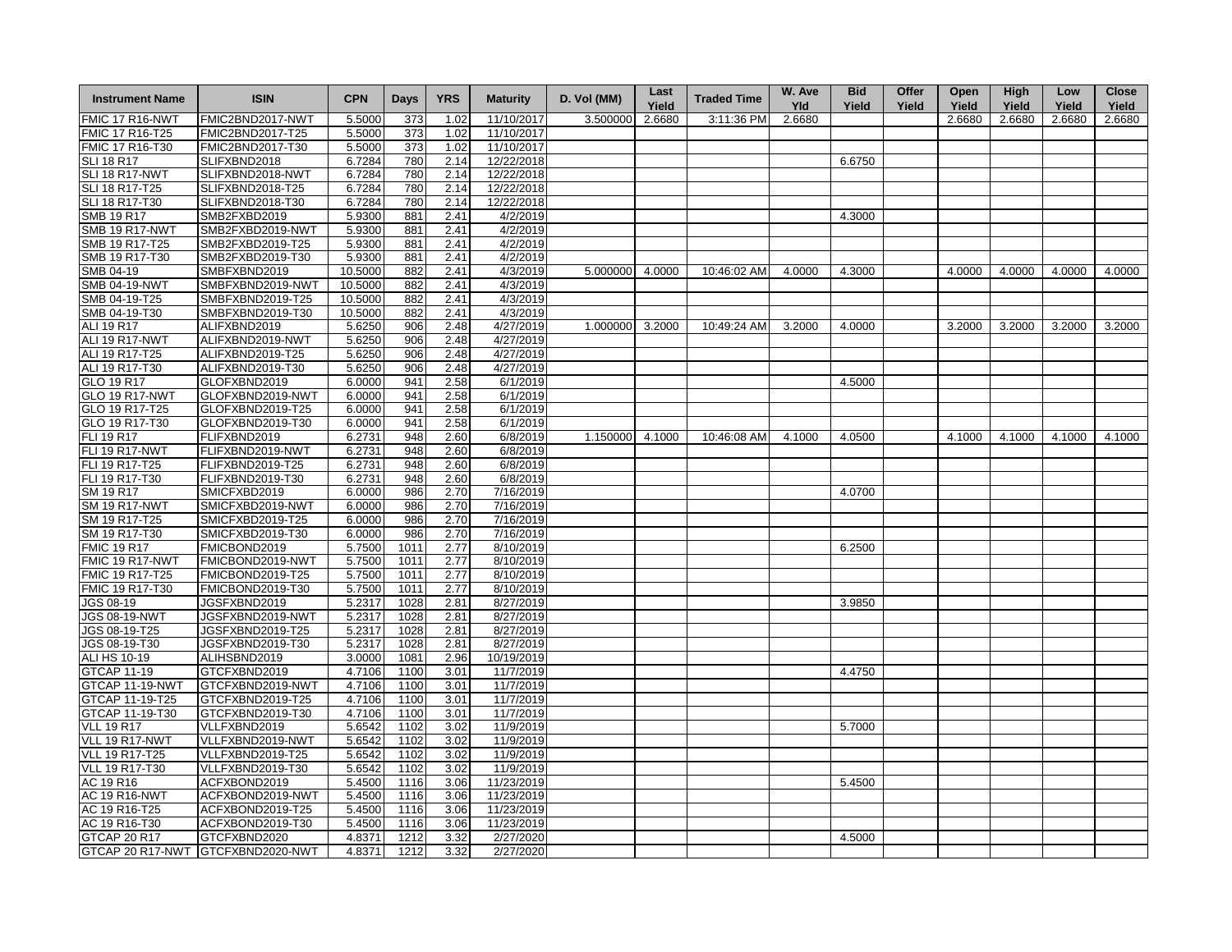| <b>Instrument Name</b> | <b>ISIN</b>                       | <b>CPN</b> | Days | <b>YRS</b> | <b>Maturity</b> | D. Vol (MM)     | Last<br>Yield | <b>Traded Time</b> | W. Ave<br><b>Yld</b> | <b>Bid</b><br>Yield | Offer<br>Yield | Open<br>Yield | High<br>Yield | Low<br>Yield | <b>Close</b><br>Yield |
|------------------------|-----------------------------------|------------|------|------------|-----------------|-----------------|---------------|--------------------|----------------------|---------------------|----------------|---------------|---------------|--------------|-----------------------|
| <b>FMIC 17 R16-NWT</b> | FMIC2BND2017-NWT                  | 5.5000     | 373  | 1.02       | 11/10/2017      | 3.500000        | 2.6680        | 3:11:36 PM         | 2.6680               |                     |                | 2.6680        | 2.6680        | 2.6680       | 2.6680                |
| FMIC 17 R16-T25        | FMIC2BND2017-T25                  | 5.5000     | 373  | 1.02       | 11/10/2017      |                 |               |                    |                      |                     |                |               |               |              |                       |
| FMIC 17 R16-T30        | FMIC2BND2017-T30                  | 5.5000     | 373  | 1.02       | 11/10/2017      |                 |               |                    |                      |                     |                |               |               |              |                       |
| <b>SLI 18 R17</b>      | SLIFXBND2018                      | 6.7284     | 780  | 2.14       | 12/22/2018      |                 |               |                    |                      | 6.6750              |                |               |               |              |                       |
| SLI 18 R17-NWT         | SLIFXBND2018-NWT                  | 6.7284     | 780  | 2.14       | 12/22/2018      |                 |               |                    |                      |                     |                |               |               |              |                       |
| SLI 18 R17-T25         | SLIFXBND2018-T25                  | 6.7284     | 780  | 2.14       | 12/22/2018      |                 |               |                    |                      |                     |                |               |               |              |                       |
| SLI 18 R17-T30         | SLIFXBND2018-T30                  | 6.7284     | 780  | 2.14       | 12/22/2018      |                 |               |                    |                      |                     |                |               |               |              |                       |
| SMB 19 R17             | SMB2FXBD2019                      | 5.9300     | 881  | 2.41       | 4/2/2019        |                 |               |                    |                      | 4.3000              |                |               |               |              |                       |
| <b>SMB 19 R17-NWT</b>  | SMB2FXBD2019-NWT                  | 5.9300     | 881  | 2.41       | 4/2/2019        |                 |               |                    |                      |                     |                |               |               |              |                       |
| SMB 19 R17-T25         | SMB2FXBD2019-T25                  | 5.9300     | 881  | 2.41       | 4/2/2019        |                 |               |                    |                      |                     |                |               |               |              |                       |
| SMB 19 R17-T30         | SMB2FXBD2019-T30                  | 5.9300     | 881  | 2.41       | 4/2/2019        |                 |               |                    |                      |                     |                |               |               |              |                       |
| SMB 04-19              | SMBFXBND2019                      | 10.5000    | 882  | 2.41       | 4/3/2019        | 5.000000 4.0000 |               | 10:46:02 AM        | 4.0000               | 4.3000              |                | 4.0000        | 4.0000        | 4.0000       | 4.0000                |
| <b>SMB 04-19-NWT</b>   | SMBFXBND2019-NWT                  | 10.5000    | 882  | 2.41       | 4/3/2019        |                 |               |                    |                      |                     |                |               |               |              |                       |
| SMB 04-19-T25          | SMBFXBND2019-T25                  | 10.5000    | 882  | 2.41       | 4/3/2019        |                 |               |                    |                      |                     |                |               |               |              |                       |
| SMB 04-19-T30          | SMBFXBND2019-T30                  | 10.5000    | 882  | 2.41       | 4/3/2019        |                 |               |                    |                      |                     |                |               |               |              |                       |
| ALI 19 R17             | ALIFXBND2019                      | 5.6250     | 906  | 2.48       | 4/27/2019       | 1.000000 3.2000 |               | 10:49:24 AM        | 3.2000               | 4.0000              |                | 3.2000        | 3.2000        | 3.2000       | 3.2000                |
| ALI 19 R17-NWT         | ALIFXBND2019-NWT                  | 5.6250     | 906  | 2.48       | 4/27/2019       |                 |               |                    |                      |                     |                |               |               |              |                       |
| ALI 19 R17-T25         | ALIFXBND2019-T25                  | 5.6250     | 906  | 2.48       | 4/27/2019       |                 |               |                    |                      |                     |                |               |               |              |                       |
| ALI 19 R17-T30         | ALIFXBND2019-T30                  | 5.6250     | 906  | 2.48       | 4/27/2019       |                 |               |                    |                      |                     |                |               |               |              |                       |
| GLO 19 R17             | GLOFXBND2019                      | 6.0000     | 941  | 2.58       | 6/1/2019        |                 |               |                    |                      | 4.5000              |                |               |               |              |                       |
| <b>GLO 19 R17-NWT</b>  | GLOFXBND2019-NWT                  | 6.0000     | 941  | 2.58       | 6/1/2019        |                 |               |                    |                      |                     |                |               |               |              |                       |
| GLO 19 R17-T25         | GLOFXBND2019-T25                  | 6.0000     | 941  | 2.58       | 6/1/2019        |                 |               |                    |                      |                     |                |               |               |              |                       |
| GLO 19 R17-T30         | GLOFXBND2019-T30                  | 6.0000     | 941  | 2.58       | 6/1/2019        |                 |               |                    |                      |                     |                |               |               |              |                       |
| <b>FLI 19 R17</b>      | FLIFXBND2019                      | 6.2731     | 948  | 2.60       | 6/8/2019        | 1.150000 4.1000 |               | 10:46:08 AM        | 4.1000               | 4.0500              |                | 4.1000        | 4.1000        | 4.1000       | 4.1000                |
| <b>FLI 19 R17-NWT</b>  | FLIFXBND2019-NWT                  | 6.2731     | 948  | 2.60       | 6/8/2019        |                 |               |                    |                      |                     |                |               |               |              |                       |
| FLI 19 R17-T25         | FLIFXBND2019-T25                  | 6.2731     | 948  | 2.60       | 6/8/2019        |                 |               |                    |                      |                     |                |               |               |              |                       |
| FLI 19 R17-T30         | FLIFXBND2019-T30                  | 6.2731     | 948  | 2.60       | 6/8/2019        |                 |               |                    |                      |                     |                |               |               |              |                       |
| SM 19 R17              | SMICFXBD2019                      | 6.0000     | 986  | 2.70       | 7/16/2019       |                 |               |                    |                      | 4.0700              |                |               |               |              |                       |
| <b>SM 19 R17-NWT</b>   | SMICFXBD2019-NWT                  | 6.0000     | 986  | 2.70       | 7/16/2019       |                 |               |                    |                      |                     |                |               |               |              |                       |
| SM 19 R17-T25          | SMICFXBD2019-T25                  | 6.0000     | 986  | 2.70       | 7/16/2019       |                 |               |                    |                      |                     |                |               |               |              |                       |
| SM 19 R17-T30          | SMICFXBD2019-T30                  | 6.0000     | 986  | 2.70       | 7/16/2019       |                 |               |                    |                      |                     |                |               |               |              |                       |
| <b>FMIC 19 R17</b>     | FMICBOND2019                      | 5.7500     | 1011 | 2.77       | 8/10/2019       |                 |               |                    |                      | 6.2500              |                |               |               |              |                       |
| FMIC 19 R17-NWT        | FMICBOND2019-NWT                  | 5.7500     | 1011 | 2.77       | 8/10/2019       |                 |               |                    |                      |                     |                |               |               |              |                       |
| FMIC 19 R17-T25        | FMICBOND2019-T25                  | 5.7500     | 1011 | 2.77       | 8/10/2019       |                 |               |                    |                      |                     |                |               |               |              |                       |
| FMIC 19 R17-T30        | FMICBOND2019-T30                  | 5.7500     | 1011 | 2.77       | 8/10/2019       |                 |               |                    |                      |                     |                |               |               |              |                       |
| JGS 08-19              | JGSFXBND2019                      | 5.2317     | 1028 | 2.81       | 8/27/2019       |                 |               |                    |                      | 3.9850              |                |               |               |              |                       |
| JGS 08-19-NWT          | JGSFXBND2019-NWT                  | 5.2317     | 1028 | 2.81       | 8/27/2019       |                 |               |                    |                      |                     |                |               |               |              |                       |
| JGS 08-19-T25          | JGSFXBND2019-T25                  | 5.2317     | 1028 | 2.81       | 8/27/2019       |                 |               |                    |                      |                     |                |               |               |              |                       |
| JGS 08-19-T30          | JGSFXBND2019-T30                  | 5.2317     | 1028 | 2.81       | 8/27/2019       |                 |               |                    |                      |                     |                |               |               |              |                       |
| ALI HS 10-19           | ALIHSBND2019                      | 3.0000     | 1081 | 2.96       | 10/19/2019      |                 |               |                    |                      |                     |                |               |               |              |                       |
| <b>GTCAP 11-19</b>     | GTCFXBND2019                      | 4.7106     | 1100 | 3.01       | 11/7/2019       |                 |               |                    |                      | 4.4750              |                |               |               |              |                       |
| GTCAP 11-19-NWT        | GTCFXBND2019-NWT                  | 4.7106     | 1100 | 3.01       | 11/7/2019       |                 |               |                    |                      |                     |                |               |               |              |                       |
| GTCAP 11-19-T25        | GTCFXBND2019-T25                  | 4.7106     | 1100 | 3.01       | 11/7/2019       |                 |               |                    |                      |                     |                |               |               |              |                       |
| GTCAP 11-19-T30        | GTCFXBND2019-T30                  | 4.7106     | 1100 | 3.01       | 11/7/2019       |                 |               |                    |                      |                     |                |               |               |              |                       |
| <b>VLL 19 R17</b>      | VLLFXBND2019                      | 5.6542     | 1102 | 3.02       | 11/9/2019       |                 |               |                    |                      | 5.7000              |                |               |               |              |                       |
| <b>VLL 19 R17-NWT</b>  | VLLFXBND2019-NWT                  | 5.6542     | 1102 | 3.02       | 11/9/2019       |                 |               |                    |                      |                     |                |               |               |              |                       |
| <b>VLL 19 R17-T25</b>  | VLLFXBND2019-T25                  | 5.6542     | 1102 | 3.02       | 11/9/2019       |                 |               |                    |                      |                     |                |               |               |              |                       |
| <b>VLL 19 R17-T30</b>  | VLLFXBND2019-T30                  | 5.6542     | 1102 | 3.02       | 11/9/2019       |                 |               |                    |                      |                     |                |               |               |              |                       |
| AC 19 R16              | ACFXBOND2019                      | 5.4500     | 1116 | 3.06       | 11/23/2019      |                 |               |                    |                      | 5.4500              |                |               |               |              |                       |
| <b>AC 19 R16-NWT</b>   | ACFXBOND2019-NWT                  | 5.4500     | 1116 | 3.06       | 11/23/2019      |                 |               |                    |                      |                     |                |               |               |              |                       |
| AC 19 R16-T25          | ACFXBOND2019-T25                  | 5.4500     | 1116 | 3.06       | 11/23/2019      |                 |               |                    |                      |                     |                |               |               |              |                       |
| AC 19 R16-T30          | ACFXBOND2019-T30                  | 5.4500     | 1116 | 3.06       | 11/23/2019      |                 |               |                    |                      |                     |                |               |               |              |                       |
| GTCAP 20 R17           | GTCFXBND2020                      | 4.8371     | 1212 | 3.32       | 2/27/2020       |                 |               |                    |                      | 4.5000              |                |               |               |              |                       |
|                        | GTCAP 20 R17-NWT GTCFXBND2020-NWT | 4.8371     | 1212 | 3.32       | 2/27/2020       |                 |               |                    |                      |                     |                |               |               |              |                       |
|                        |                                   |            |      |            |                 |                 |               |                    |                      |                     |                |               |               |              |                       |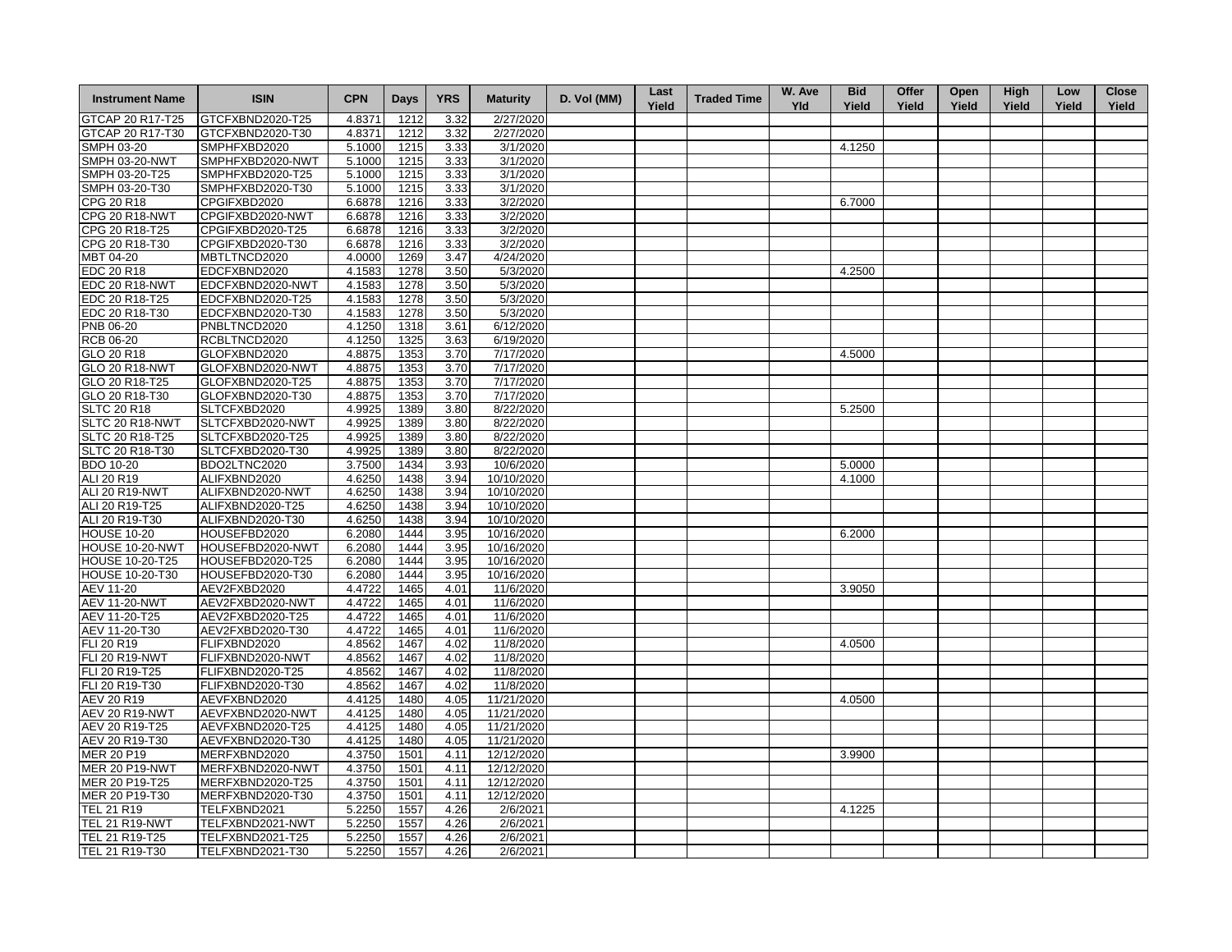| <b>Instrument Name</b> | <b>ISIN</b>      | <b>CPN</b> | Days | <b>YRS</b> | <b>Maturity</b> | D. Vol (MM) | Last<br>Yield | <b>Traded Time</b> | W. Ave<br><b>Yld</b> | <b>Bid</b><br>Yield | Offer<br>Yield | Open<br>Yield | <b>High</b><br>Yield | Low<br>Yield | <b>Close</b><br>Yield |
|------------------------|------------------|------------|------|------------|-----------------|-------------|---------------|--------------------|----------------------|---------------------|----------------|---------------|----------------------|--------------|-----------------------|
| GTCAP 20 R17-T25       | GTCFXBND2020-T25 | 4.8371     | 1212 | 3.32       | 2/27/2020       |             |               |                    |                      |                     |                |               |                      |              |                       |
| GTCAP 20 R17-T30       | GTCFXBND2020-T30 | 4.8371     | 1212 | 3.32       | 2/27/2020       |             |               |                    |                      |                     |                |               |                      |              |                       |
| SMPH 03-20             | SMPHFXBD2020     | 5.1000     | 1215 | 3.33       | 3/1/2020        |             |               |                    |                      | 4.1250              |                |               |                      |              |                       |
| <b>SMPH 03-20-NWT</b>  | SMPHFXBD2020-NWT | 5.1000     | 1215 | 3.33       | 3/1/2020        |             |               |                    |                      |                     |                |               |                      |              |                       |
| SMPH 03-20-T25         | SMPHFXBD2020-T25 | 5.1000     | 1215 | 3.33       | 3/1/2020        |             |               |                    |                      |                     |                |               |                      |              |                       |
| SMPH 03-20-T30         | SMPHFXBD2020-T30 | 5.1000     | 1215 | 3.33       | 3/1/2020        |             |               |                    |                      |                     |                |               |                      |              |                       |
| CPG 20 R18             | CPGIFXBD2020     | 6.6878     | 1216 | 3.33       | 3/2/2020        |             |               |                    |                      | 6.7000              |                |               |                      |              |                       |
| <b>CPG 20 R18-NWT</b>  | CPGIFXBD2020-NWT | 6.6878     | 1216 | 3.33       | 3/2/2020        |             |               |                    |                      |                     |                |               |                      |              |                       |
| CPG 20 R18-T25         | CPGIFXBD2020-T25 | 6.6878     | 1216 | 3.33       | 3/2/2020        |             |               |                    |                      |                     |                |               |                      |              |                       |
| CPG 20 R18-T30         | CPGIFXBD2020-T30 | 6.6878     | 1216 | 3.33       | 3/2/2020        |             |               |                    |                      |                     |                |               |                      |              |                       |
| MBT 04-20              | MBTLTNCD2020     | 4.0000     | 1269 | 3.47       | 4/24/2020       |             |               |                    |                      |                     |                |               |                      |              |                       |
| EDC 20 R18             | EDCFXBND2020     | 4.1583     | 1278 | 3.50       | 5/3/2020        |             |               |                    |                      | 4.2500              |                |               |                      |              |                       |
| <b>EDC 20 R18-NWT</b>  | EDCFXBND2020-NWT | 4.1583     | 1278 | 3.50       | 5/3/2020        |             |               |                    |                      |                     |                |               |                      |              |                       |
| EDC 20 R18-T25         | EDCFXBND2020-T25 | 4.1583     | 1278 | 3.50       | 5/3/2020        |             |               |                    |                      |                     |                |               |                      |              |                       |
| EDC 20 R18-T30         | EDCFXBND2020-T30 | 4.1583     | 1278 | 3.50       | 5/3/2020        |             |               |                    |                      |                     |                |               |                      |              |                       |
| PNB 06-20              | PNBLTNCD2020     | 4.1250     | 1318 | 3.61       | 6/12/2020       |             |               |                    |                      |                     |                |               |                      |              |                       |
| <b>RCB 06-20</b>       | RCBLTNCD2020     | 4.1250     | 1325 | 3.63       | 6/19/2020       |             |               |                    |                      |                     |                |               |                      |              |                       |
| GLO 20 R18             | GLOFXBND2020     | 4.8875     | 1353 | 3.70       | 7/17/2020       |             |               |                    |                      | 4.5000              |                |               |                      |              |                       |
| GLO 20 R18-NWT         | GLOFXBND2020-NWT | 4.8875     | 1353 | 3.70       | 7/17/2020       |             |               |                    |                      |                     |                |               |                      |              |                       |
| GLO 20 R18-T25         | GLOFXBND2020-T25 | 4.8875     | 1353 | 3.70       | 7/17/2020       |             |               |                    |                      |                     |                |               |                      |              |                       |
| GLO 20 R18-T30         | GLOFXBND2020-T30 | 4.8875     | 1353 | 3.70       | 7/17/2020       |             |               |                    |                      |                     |                |               |                      |              |                       |
| <b>SLTC 20 R18</b>     | SLTCFXBD2020     | 4.9925     | 1389 | 3.80       | 8/22/2020       |             |               |                    |                      | 5.2500              |                |               |                      |              |                       |
| SLTC 20 R18-NWT        | SLTCFXBD2020-NWT | 4.9925     | 1389 | 3.80       | 8/22/2020       |             |               |                    |                      |                     |                |               |                      |              |                       |
| SLTC 20 R18-T25        | SLTCFXBD2020-T25 | 4.9925     | 1389 | 3.80       | 8/22/2020       |             |               |                    |                      |                     |                |               |                      |              |                       |
| SLTC 20 R18-T30        | SLTCFXBD2020-T30 | 4.9925     | 1389 | 3.80       | 8/22/2020       |             |               |                    |                      |                     |                |               |                      |              |                       |
| <b>BDO 10-20</b>       | BDO2LTNC2020     | 3.7500     | 1434 | 3.93       | 10/6/2020       |             |               |                    |                      | 5.0000              |                |               |                      |              |                       |
| ALI 20 R19             | ALIFXBND2020     | 4.6250     | 1438 | 3.94       | 10/10/2020      |             |               |                    |                      | 4.1000              |                |               |                      |              |                       |
| ALI 20 R19-NWT         | ALIFXBND2020-NWT | 4.6250     | 1438 | 3.94       | 10/10/2020      |             |               |                    |                      |                     |                |               |                      |              |                       |
| ALI 20 R19-T25         | ALIFXBND2020-T25 | 4.6250     | 1438 | 3.94       | 10/10/2020      |             |               |                    |                      |                     |                |               |                      |              |                       |
| ALI 20 R19-T30         | ALIFXBND2020-T30 | 4.6250     | 1438 | 3.94       | 10/10/2020      |             |               |                    |                      |                     |                |               |                      |              |                       |
| <b>HOUSE 10-20</b>     | HOUSEFBD2020     | 6.2080     | 1444 | 3.95       | 10/16/2020      |             |               |                    |                      | 6.2000              |                |               |                      |              |                       |
| HOUSE 10-20-NWT        | HOUSEFBD2020-NWT | 6.2080     | 1444 | 3.95       | 10/16/2020      |             |               |                    |                      |                     |                |               |                      |              |                       |
| HOUSE 10-20-T25        | HOUSEFBD2020-T25 | 6.2080     | 1444 | 3.95       | 10/16/2020      |             |               |                    |                      |                     |                |               |                      |              |                       |
| HOUSE 10-20-T30        | HOUSEFBD2020-T30 | 6.2080     | 1444 | 3.95       | 10/16/2020      |             |               |                    |                      |                     |                |               |                      |              |                       |
| AEV 11-20              | AEV2FXBD2020     | 4.4722     | 1465 | 4.01       | 11/6/2020       |             |               |                    |                      | 3.9050              |                |               |                      |              |                       |
| <b>AEV 11-20-NWT</b>   | AEV2FXBD2020-NWT | 4.4722     | 1465 | 4.01       | 11/6/2020       |             |               |                    |                      |                     |                |               |                      |              |                       |
| AEV 11-20-T25          | AEV2FXBD2020-T25 | 4.4722     | 1465 | 4.01       | 11/6/2020       |             |               |                    |                      |                     |                |               |                      |              |                       |
| AEV 11-20-T30          | AEV2FXBD2020-T30 | 4.4722     | 1465 | 4.01       | 11/6/2020       |             |               |                    |                      |                     |                |               |                      |              |                       |
| FLI 20 R19             | FLIFXBND2020     | 4.8562     | 1467 | 4.02       | 11/8/2020       |             |               |                    |                      | 4.0500              |                |               |                      |              |                       |
| <b>FLI 20 R19-NWT</b>  | FLIFXBND2020-NWT | 4.8562     | 1467 | 4.02       | 11/8/2020       |             |               |                    |                      |                     |                |               |                      |              |                       |
| FLI 20 R19-T25         | FLIFXBND2020-T25 | 4.8562     | 1467 | 4.02       | 11/8/2020       |             |               |                    |                      |                     |                |               |                      |              |                       |
| FLI 20 R19-T30         | FLIFXBND2020-T30 | 4.8562     | 1467 | 4.02       | 11/8/2020       |             |               |                    |                      |                     |                |               |                      |              |                       |
| <b>AEV 20 R19</b>      | AEVFXBND2020     | 4.4125     | 1480 | 4.05       | 11/21/2020      |             |               |                    |                      | 4.0500              |                |               |                      |              |                       |
| <b>AEV 20 R19-NWT</b>  | AEVFXBND2020-NWT | 4.4125     | 1480 | 4.05       | 11/21/2020      |             |               |                    |                      |                     |                |               |                      |              |                       |
| AEV 20 R19-T25         | AEVFXBND2020-T25 | 4.4125     | 1480 | 4.05       | 11/21/2020      |             |               |                    |                      |                     |                |               |                      |              |                       |
| AEV 20 R19-T30         | AEVFXBND2020-T30 | 4.4125     | 1480 | 4.05       | 11/21/2020      |             |               |                    |                      |                     |                |               |                      |              |                       |
| MER 20 P19             | MERFXBND2020     | 4.3750     | 1501 | 4.11       | 12/12/2020      |             |               |                    |                      | 3.9900              |                |               |                      |              |                       |
| <b>MER 20 P19-NWT</b>  | MERFXBND2020-NWT | 4.3750     | 1501 | 4.11       | 12/12/2020      |             |               |                    |                      |                     |                |               |                      |              |                       |
| MER 20 P19-T25         | MERFXBND2020-T25 | 4.3750     | 1501 | 4.11       | 12/12/2020      |             |               |                    |                      |                     |                |               |                      |              |                       |
| MER 20 P19-T30         | MERFXBND2020-T30 | 4.3750     | 1501 | 4.11       | 12/12/2020      |             |               |                    |                      |                     |                |               |                      |              |                       |
| TEL 21 R19             | TELFXBND2021     | 5.2250     | 1557 | 4.26       | 2/6/2021        |             |               |                    |                      | 4.1225              |                |               |                      |              |                       |
| <b>TEL 21 R19-NWT</b>  | TELFXBND2021-NWT | 5.2250     | 1557 | 4.26       | 2/6/2021        |             |               |                    |                      |                     |                |               |                      |              |                       |
| TEL 21 R19-T25         | TELFXBND2021-T25 | 5.2250     | 1557 | 4.26       | 2/6/2021        |             |               |                    |                      |                     |                |               |                      |              |                       |
| TEL 21 R19-T30         | TELFXBND2021-T30 | 5.2250     | 1557 | 4.26       | 2/6/2021        |             |               |                    |                      |                     |                |               |                      |              |                       |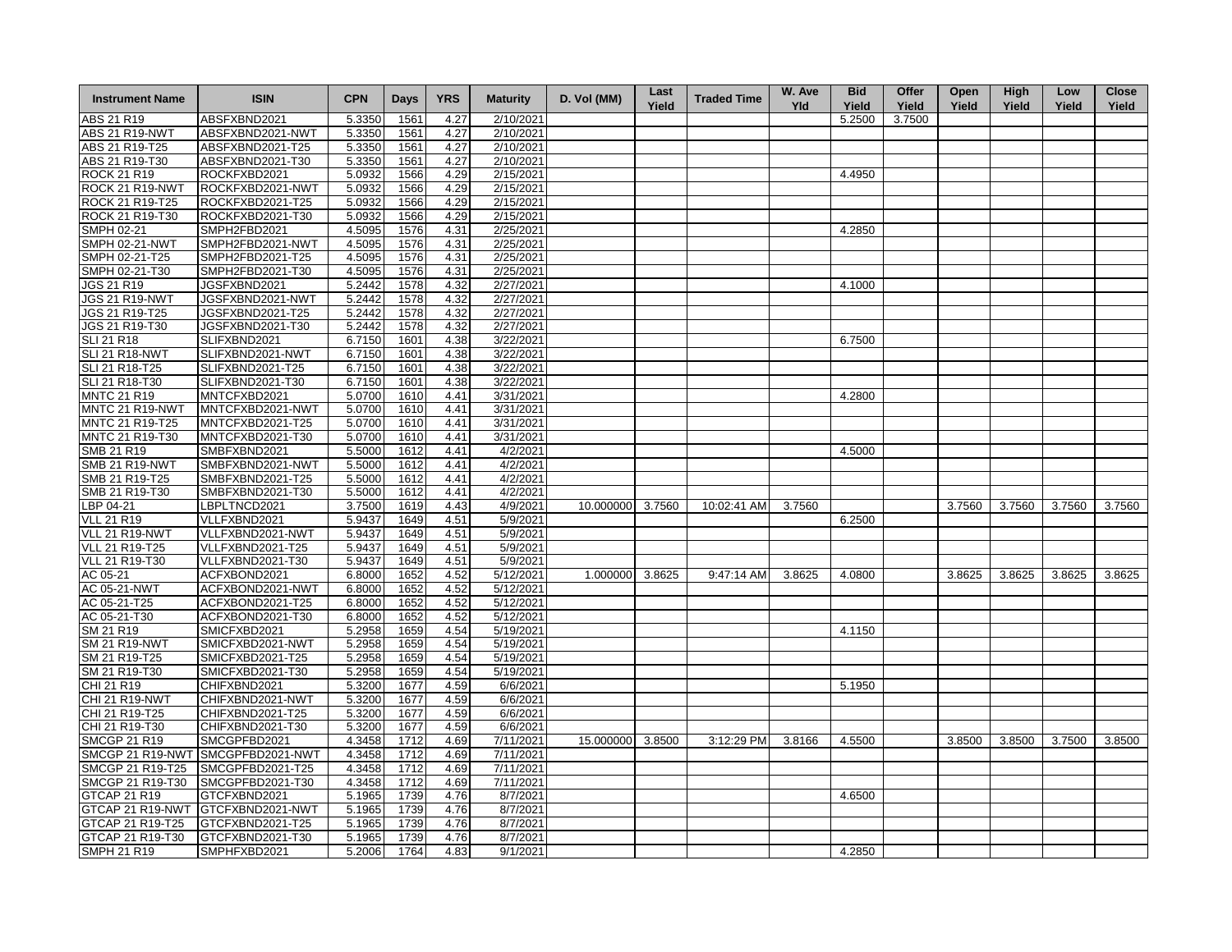| <b>Instrument Name</b> | <b>ISIN</b>      | <b>CPN</b> | <b>Days</b> | <b>YRS</b> | <b>Maturity</b> | D. Vol (MM)      | Last<br>Yield | <b>Traded Time</b> | W. Ave<br><b>Yld</b> | <b>Bid</b><br>Yield | Offer<br>Yield | Open<br>Yield | <b>High</b><br>Yield | Low<br>Yield | <b>Close</b><br>Yield |
|------------------------|------------------|------------|-------------|------------|-----------------|------------------|---------------|--------------------|----------------------|---------------------|----------------|---------------|----------------------|--------------|-----------------------|
| ABS 21 R19             | ABSFXBND2021     | 5.3350     | 1561        | 4.27       | 2/10/2021       |                  |               |                    |                      | 5.2500              | 3.7500         |               |                      |              |                       |
| <b>ABS 21 R19-NWT</b>  | ABSFXBND2021-NWT | 5.3350     | 1561        | 4.27       | 2/10/2021       |                  |               |                    |                      |                     |                |               |                      |              |                       |
| ABS 21 R19-T25         | ABSFXBND2021-T25 | 5.3350     | 1561        | 4.27       | 2/10/2021       |                  |               |                    |                      |                     |                |               |                      |              |                       |
| ABS 21 R19-T30         | ABSFXBND2021-T30 | 5.3350     | 1561        | 4.27       | 2/10/2021       |                  |               |                    |                      |                     |                |               |                      |              |                       |
| <b>ROCK 21 R19</b>     | ROCKFXBD2021     | 5.0932     | 1566        | 4.29       | 2/15/2021       |                  |               |                    |                      | 4.4950              |                |               |                      |              |                       |
| <b>ROCK 21 R19-NWT</b> | ROCKFXBD2021-NWT | 5.0932     | 1566        | 4.29       | 2/15/2021       |                  |               |                    |                      |                     |                |               |                      |              |                       |
| ROCK 21 R19-T25        | ROCKFXBD2021-T25 | 5.0932     | 1566        | 4.29       | 2/15/2021       |                  |               |                    |                      |                     |                |               |                      |              |                       |
| ROCK 21 R19-T30        | ROCKFXBD2021-T30 | 5.0932     | 1566        | 4.29       | 2/15/2021       |                  |               |                    |                      |                     |                |               |                      |              |                       |
| SMPH 02-21             | SMPH2FBD2021     | 4.5095     | 1576        | 4.31       | 2/25/2021       |                  |               |                    |                      | 4.2850              |                |               |                      |              |                       |
| <b>SMPH 02-21-NWT</b>  | SMPH2FBD2021-NWT | 4.5095     | 1576        | 4.31       | 2/25/2021       |                  |               |                    |                      |                     |                |               |                      |              |                       |
| SMPH 02-21-T25         | SMPH2FBD2021-T25 | 4.5095     | 1576        | 4.31       | 2/25/2021       |                  |               |                    |                      |                     |                |               |                      |              |                       |
| SMPH 02-21-T30         | SMPH2FBD2021-T30 | 4.5095     | 1576        | 4.31       | 2/25/2021       |                  |               |                    |                      |                     |                |               |                      |              |                       |
| JGS 21 R19             | JGSFXBND2021     | 5.2442     | 1578        | 4.32       | 2/27/2021       |                  |               |                    |                      | 4.1000              |                |               |                      |              |                       |
| <b>JGS 21 R19-NWT</b>  | JGSFXBND2021-NWT | 5.2442     | 1578        | 4.32       | 2/27/2021       |                  |               |                    |                      |                     |                |               |                      |              |                       |
| JGS 21 R19-T25         | JGSFXBND2021-T25 | 5.2442     | 1578        | 4.32       | 2/27/2021       |                  |               |                    |                      |                     |                |               |                      |              |                       |
| JGS 21 R19-T30         | JGSFXBND2021-T30 | 5.2442     | 1578        | 4.32       | 2/27/2021       |                  |               |                    |                      |                     |                |               |                      |              |                       |
|                        |                  |            |             |            |                 |                  |               |                    |                      |                     |                |               |                      |              |                       |
| SLI 21 R18             | SLIFXBND2021     | 6.7150     | 1601        | 4.38       | 3/22/2021       |                  |               |                    |                      | 6.7500              |                |               |                      |              |                       |
| <b>SLI 21 R18-NWT</b>  | SLIFXBND2021-NWT | 6.7150     | 1601        | 4.38       | 3/22/2021       |                  |               |                    |                      |                     |                |               |                      |              |                       |
| SLI 21 R18-T25         | SLIFXBND2021-T25 | 6.7150     | 1601        | 4.38       | 3/22/2021       |                  |               |                    |                      |                     |                |               |                      |              |                       |
| SLI 21 R18-T30         | SLIFXBND2021-T30 | 6.7150     | 1601        | 4.38       | 3/22/2021       |                  |               |                    |                      |                     |                |               |                      |              |                       |
| <b>MNTC 21 R19</b>     | MNTCFXBD2021     | 5.0700     | 1610        | 4.41       | 3/31/2021       |                  |               |                    |                      | 4.2800              |                |               |                      |              |                       |
| MNTC 21 R19-NWT        | MNTCFXBD2021-NWT | 5.0700     | 1610        | 4.41       | 3/31/2021       |                  |               |                    |                      |                     |                |               |                      |              |                       |
| MNTC 21 R19-T25        | MNTCFXBD2021-T25 | 5.0700     | 1610        | 4.41       | 3/31/2021       |                  |               |                    |                      |                     |                |               |                      |              |                       |
| MNTC 21 R19-T30        | MNTCFXBD2021-T30 | 5.0700     | 1610        | 4.41       | 3/31/2021       |                  |               |                    |                      |                     |                |               |                      |              |                       |
| SMB 21 R19             | SMBFXBND2021     | 5.5000     | 1612        | 4.41       | 4/2/2021        |                  |               |                    |                      | 4.5000              |                |               |                      |              |                       |
| <b>SMB 21 R19-NWT</b>  | SMBFXBND2021-NWT | 5.5000     | 1612        | 4.41       | 4/2/2021        |                  |               |                    |                      |                     |                |               |                      |              |                       |
| SMB 21 R19-T25         | SMBFXBND2021-T25 | 5.5000     | 1612        | 4.41       | 4/2/2021        |                  |               |                    |                      |                     |                |               |                      |              |                       |
| SMB 21 R19-T30         | SMBFXBND2021-T30 | 5.5000     | 1612        | 4.41       | 4/2/2021        |                  |               |                    |                      |                     |                |               |                      |              |                       |
| LBP 04-21              | LBPLTNCD2021     | 3.7500     | 1619        | 4.43       | 4/9/2021        | 10.000000 3.7560 |               | 10:02:41 AM        | 3.7560               |                     |                | 3.7560        | 3.7560               | 3.7560       | 3.7560                |
| <b>VLL 21 R19</b>      | VLLFXBND2021     | 5.9437     | 1649        | 4.51       | 5/9/2021        |                  |               |                    |                      | 6.2500              |                |               |                      |              |                       |
| <b>VLL 21 R19-NWT</b>  | VLLFXBND2021-NWT | 5.9437     | 1649        | 4.51       | 5/9/2021        |                  |               |                    |                      |                     |                |               |                      |              |                       |
| VLL 21 R19-T25         | VLLFXBND2021-T25 | 5.9437     | 1649        | 4.51       | 5/9/2021        |                  |               |                    |                      |                     |                |               |                      |              |                       |
| VLL 21 R19-T30         | VLLFXBND2021-T30 | 5.9437     | 1649        | 4.51       | 5/9/2021        |                  |               |                    |                      |                     |                |               |                      |              |                       |
| AC 05-21               | ACFXBOND2021     | 6.8000     | 1652        | 4.52       | 5/12/2021       | 1.000000         | 3.8625        | 9:47:14 AM         | 3.8625               | 4.0800              |                | 3.8625        | 3.8625               | 3.8625       | 3.8625                |
| AC 05-21-NWT           | ACFXBOND2021-NWT | 6.8000     | 1652        | 4.52       | 5/12/2021       |                  |               |                    |                      |                     |                |               |                      |              |                       |
| AC 05-21-T25           | ACFXBOND2021-T25 | 6.8000     | 1652        | 4.52       | 5/12/2021       |                  |               |                    |                      |                     |                |               |                      |              |                       |
| AC 05-21-T30           | ACFXBOND2021-T30 | 6.8000     | 1652        | 4.52       | 5/12/2021       |                  |               |                    |                      |                     |                |               |                      |              |                       |
| SM 21 R19              | SMICFXBD2021     | 5.2958     | 1659        | 4.54       | 5/19/2021       |                  |               |                    |                      | 4.1150              |                |               |                      |              |                       |
| <b>SM 21 R19-NWT</b>   | SMICFXBD2021-NWT | 5.2958     | 1659        | 4.54       | 5/19/2021       |                  |               |                    |                      |                     |                |               |                      |              |                       |
| SM 21 R19-T25          | SMICFXBD2021-T25 | 5.2958     | 1659        | 4.54       | 5/19/2021       |                  |               |                    |                      |                     |                |               |                      |              |                       |
| SM 21 R19-T30          | SMICFXBD2021-T30 | 5.2958     | 1659        | 4.54       | 5/19/2021       |                  |               |                    |                      |                     |                |               |                      |              |                       |
| CHI 21 R19             | CHIFXBND2021     | 5.3200     | 1677        | 4.59       | 6/6/2021        |                  |               |                    |                      | 5.1950              |                |               |                      |              |                       |
| CHI 21 R19-NWT         | CHIFXBND2021-NWT | 5.3200     | 1677        | 4.59       | 6/6/2021        |                  |               |                    |                      |                     |                |               |                      |              |                       |
|                        |                  |            | 1677        |            |                 |                  |               |                    |                      |                     |                |               |                      |              |                       |
| CHI 21 R19-T25         | CHIFXBND2021-T25 | 5.3200     |             | 4.59       | 6/6/2021        |                  |               |                    |                      |                     |                |               |                      |              |                       |
| CHI 21 R19-T30         | CHIFXBND2021-T30 | 5.3200     | 1677        | 4.59       | 6/6/2021        |                  |               |                    |                      |                     |                |               |                      |              |                       |
| <b>SMCGP 21 R19</b>    | SMCGPFBD2021     | 4.3458     | 1712        | 4.69       | 7/11/2021       | 15.000000        | 3.8500        | 3:12:29 PM         | 3.8166               | 4.5500              |                | 3.8500        | 3.8500               | 3.7500       | 3.8500                |
| SMCGP 21 R19-NWT       | SMCGPFBD2021-NWT | 4.3458     | 1712        | 4.69       | 7/11/2021       |                  |               |                    |                      |                     |                |               |                      |              |                       |
| SMCGP 21 R19-T25       | SMCGPFBD2021-T25 | 4.3458     | 1712        | 4.69       | 7/11/2021       |                  |               |                    |                      |                     |                |               |                      |              |                       |
| SMCGP 21 R19-T30       | SMCGPFBD2021-T30 | 4.3458     | 1712        | 4.69       | 7/11/2021       |                  |               |                    |                      |                     |                |               |                      |              |                       |
| GTCAP 21 R19           | GTCFXBND2021     | 5.1965     | 1739        | 4.76       | 8/7/2021        |                  |               |                    |                      | 4.6500              |                |               |                      |              |                       |
| GTCAP 21 R19-NWT       | GTCFXBND2021-NWT | 5.1965     | 1739        | 4.76       | 8/7/2021        |                  |               |                    |                      |                     |                |               |                      |              |                       |
| GTCAP 21 R19-T25       | GTCFXBND2021-T25 | 5.1965     | 1739        | 4.76       | 8/7/2021        |                  |               |                    |                      |                     |                |               |                      |              |                       |
| GTCAP 21 R19-T30       | GTCFXBND2021-T30 | 5.1965     | 1739        | 4.76       | 8/7/2021        |                  |               |                    |                      |                     |                |               |                      |              |                       |
| <b>SMPH 21 R19</b>     | SMPHFXBD2021     | 5.2006     | 1764        | 4.83       | 9/1/2021        |                  |               |                    |                      | 4.2850              |                |               |                      |              |                       |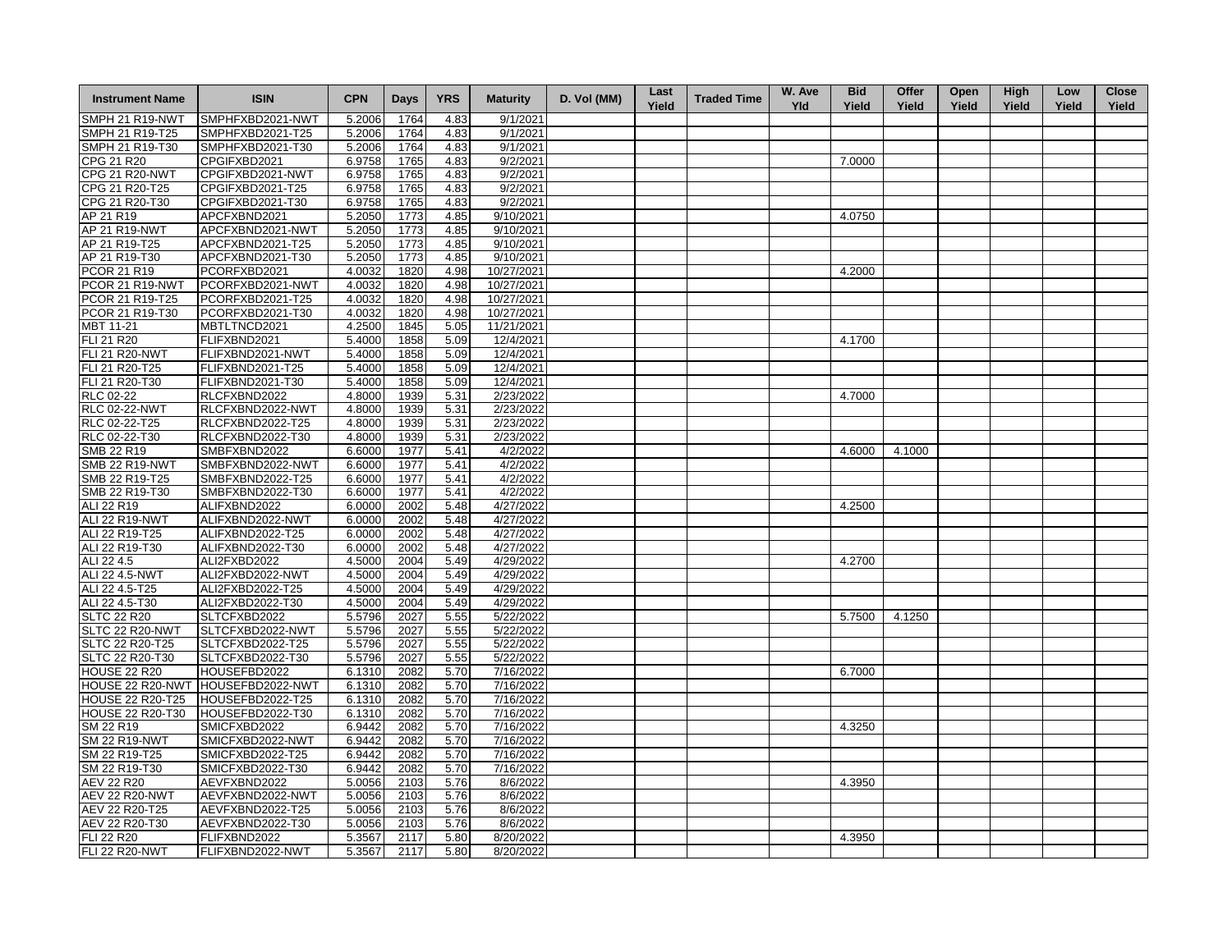| <b>Instrument Name</b>  | <b>ISIN</b>      | <b>CPN</b> | <b>Days</b> | <b>YRS</b> | <b>Maturity</b> | D. Vol (MM) | Last<br>Yield | <b>Traded Time</b> | W. Ave<br><b>Yld</b> | <b>Bid</b><br>Yield | Offer<br>Yield | Open<br>Yield | <b>High</b><br>Yield | Low<br>Yield | <b>Close</b><br>Yield |
|-------------------------|------------------|------------|-------------|------------|-----------------|-------------|---------------|--------------------|----------------------|---------------------|----------------|---------------|----------------------|--------------|-----------------------|
| SMPH 21 R19-NWT         | SMPHFXBD2021-NWT | 5.2006     | 1764        | 4.83       | 9/1/2021        |             |               |                    |                      |                     |                |               |                      |              |                       |
| SMPH 21 R19-T25         | SMPHFXBD2021-T25 | 5.2006     | 1764        | 4.83       | 9/1/2021        |             |               |                    |                      |                     |                |               |                      |              |                       |
| SMPH 21 R19-T30         | SMPHFXBD2021-T30 | 5.2006     | 1764        | 4.83       | 9/1/2021        |             |               |                    |                      |                     |                |               |                      |              |                       |
| CPG 21 R20              | CPGIFXBD2021     | 6.9758     | 1765        | 4.83       | 9/2/2021        |             |               |                    |                      | 7.0000              |                |               |                      |              |                       |
| <b>CPG 21 R20-NWT</b>   | CPGIFXBD2021-NWT | 6.9758     | 1765        | 4.83       | 9/2/2021        |             |               |                    |                      |                     |                |               |                      |              |                       |
| CPG 21 R20-T25          | CPGIFXBD2021-T25 | 6.9758     | 1765        | 4.83       | 9/2/2021        |             |               |                    |                      |                     |                |               |                      |              |                       |
| CPG 21 R20-T30          | CPGIFXBD2021-T30 | 6.9758     | 1765        | 4.83       | 9/2/2021        |             |               |                    |                      |                     |                |               |                      |              |                       |
| AP 21 R19               | APCFXBND2021     | 5.2050     | 1773        | 4.85       | 9/10/2021       |             |               |                    |                      | 4.0750              |                |               |                      |              |                       |
| AP 21 R19-NWT           | APCFXBND2021-NWT | 5.2050     | 1773        | 4.85       | 9/10/2021       |             |               |                    |                      |                     |                |               |                      |              |                       |
| AP 21 R19-T25           | APCFXBND2021-T25 | 5.2050     | 1773        | 4.85       | 9/10/2021       |             |               |                    |                      |                     |                |               |                      |              |                       |
| AP 21 R19-T30           | APCFXBND2021-T30 | 5.2050     | 1773        | 4.85       | 9/10/2021       |             |               |                    |                      |                     |                |               |                      |              |                       |
| <b>PCOR 21 R19</b>      | PCORFXBD2021     | 4.0032     | 1820        | 4.98       | 10/27/2021      |             |               |                    |                      | 4.2000              |                |               |                      |              |                       |
| PCOR 21 R19-NWT         | PCORFXBD2021-NWT | 4.0032     | 1820        | 4.98       | 10/27/2021      |             |               |                    |                      |                     |                |               |                      |              |                       |
| PCOR 21 R19-T25         | PCORFXBD2021-T25 | 4.0032     | 1820        | 4.98       | 10/27/2021      |             |               |                    |                      |                     |                |               |                      |              |                       |
| PCOR 21 R19-T30         | PCORFXBD2021-T30 | 4.0032     | 1820        | 4.98       | 10/27/2021      |             |               |                    |                      |                     |                |               |                      |              |                       |
| MBT 11-21               | MBTLTNCD2021     | 4.2500     | 1845        | 5.05       | 11/21/2021      |             |               |                    |                      |                     |                |               |                      |              |                       |
| FLI 21 R20              | FLIFXBND2021     | 5.4000     | 1858        | 5.09       | 12/4/2021       |             |               |                    |                      | 4.1700              |                |               |                      |              |                       |
| <b>FLI 21 R20-NWT</b>   | FLIFXBND2021-NWT | 5.4000     | 1858        | 5.09       | 12/4/2021       |             |               |                    |                      |                     |                |               |                      |              |                       |
| FLI 21 R20-T25          | FLIFXBND2021-T25 | 5.4000     | 1858        | 5.09       | 12/4/2021       |             |               |                    |                      |                     |                |               |                      |              |                       |
| FLI 21 R20-T30          | FLIFXBND2021-T30 | 5.4000     | 1858        | 5.09       | 12/4/2021       |             |               |                    |                      |                     |                |               |                      |              |                       |
| <b>RLC 02-22</b>        | RLCFXBND2022     | 4.8000     | 1939        | 5.31       | 2/23/2022       |             |               |                    |                      | 4.7000              |                |               |                      |              |                       |
| <b>RLC 02-22-NWT</b>    | RLCFXBND2022-NWT | 4.8000     | 1939        | 5.31       | 2/23/2022       |             |               |                    |                      |                     |                |               |                      |              |                       |
| RLC 02-22-T25           | RLCFXBND2022-T25 | 4.8000     | 1939        | 5.31       | 2/23/2022       |             |               |                    |                      |                     |                |               |                      |              |                       |
| RLC 02-22-T30           | RLCFXBND2022-T30 | 4.8000     | 1939        | 5.31       | 2/23/2022       |             |               |                    |                      |                     |                |               |                      |              |                       |
| SMB 22 R19              | SMBFXBND2022     | 6.6000     | 1977        | 5.41       | 4/2/2022        |             |               |                    |                      | 4.6000              | 4.1000         |               |                      |              |                       |
| SMB 22 R19-NWT          | SMBFXBND2022-NWT | 6.6000     | 1977        | 5.41       | 4/2/2022        |             |               |                    |                      |                     |                |               |                      |              |                       |
| SMB 22 R19-T25          | SMBFXBND2022-T25 | 6.6000     | 1977        | 5.41       | 4/2/2022        |             |               |                    |                      |                     |                |               |                      |              |                       |
| SMB 22 R19-T30          | SMBFXBND2022-T30 | 6.6000     | 1977        | 5.41       | 4/2/2022        |             |               |                    |                      |                     |                |               |                      |              |                       |
| ALI 22 R19              | ALIFXBND2022     | 6.0000     | 2002        | 5.48       | 4/27/2022       |             |               |                    |                      | 4.2500              |                |               |                      |              |                       |
| ALI 22 R19-NWT          | ALIFXBND2022-NWT | 6.0000     | 2002        | 5.48       | 4/27/2022       |             |               |                    |                      |                     |                |               |                      |              |                       |
| ALI 22 R19-T25          | ALIFXBND2022-T25 | 6.0000     | 2002        | 5.48       | 4/27/2022       |             |               |                    |                      |                     |                |               |                      |              |                       |
| ALI 22 R19-T30          | ALIFXBND2022-T30 | 6.0000     | 2002        | 5.48       | 4/27/2022       |             |               |                    |                      |                     |                |               |                      |              |                       |
| ALI 22 4.5              | ALI2FXBD2022     | 4.5000     | 2004        | 5.49       | 4/29/2022       |             |               |                    |                      | 4.2700              |                |               |                      |              |                       |
| ALI 22 4.5-NWT          | ALI2FXBD2022-NWT | 4.5000     | 2004        | 5.49       | 4/29/2022       |             |               |                    |                      |                     |                |               |                      |              |                       |
| ALI 22 4.5-T25          | ALI2FXBD2022-T25 | 4.5000     | 2004        | 5.49       | 4/29/2022       |             |               |                    |                      |                     |                |               |                      |              |                       |
| ALI 22 4.5-T30          | ALI2FXBD2022-T30 | 4.5000     | 2004        | 5.49       | 4/29/2022       |             |               |                    |                      |                     |                |               |                      |              |                       |
| <b>SLTC 22 R20</b>      | SLTCFXBD2022     | 5.5796     | 2027        | 5.55       | 5/22/2022       |             |               |                    |                      | 5.7500              | 4.1250         |               |                      |              |                       |
| SLTC 22 R20-NWT         | SLTCFXBD2022-NWT | 5.5796     | 2027        | 5.55       | 5/22/2022       |             |               |                    |                      |                     |                |               |                      |              |                       |
| SLTC 22 R20-T25         | SLTCFXBD2022-T25 | 5.5796     | 2027        | 5.55       | 5/22/2022       |             |               |                    |                      |                     |                |               |                      |              |                       |
| SLTC 22 R20-T30         | SLTCFXBD2022-T30 | 5.5796     | 2027        | 5.55       | 5/22/2022       |             |               |                    |                      |                     |                |               |                      |              |                       |
| <b>HOUSE 22 R20</b>     | HOUSEFBD2022     | 6.1310     | 2082        | 5.70       | 7/16/2022       |             |               |                    |                      | 6.7000              |                |               |                      |              |                       |
| HOUSE 22 R20-NWT        | HOUSEFBD2022-NWT | 6.1310     | 2082        | 5.70       | 7/16/2022       |             |               |                    |                      |                     |                |               |                      |              |                       |
| <b>HOUSE 22 R20-T25</b> | HOUSEFBD2022-T25 | 6.1310     | 2082        | 5.70       | 7/16/2022       |             |               |                    |                      |                     |                |               |                      |              |                       |
| <b>HOUSE 22 R20-T30</b> | HOUSEFBD2022-T30 | 6.1310     | 2082        | 5.70       | 7/16/2022       |             |               |                    |                      |                     |                |               |                      |              |                       |
| SM 22 R19               | SMICFXBD2022     | 6.9442     | 2082        | 5.70       | 7/16/2022       |             |               |                    |                      | 4.3250              |                |               |                      |              |                       |
| <b>SM 22 R19-NWT</b>    | SMICFXBD2022-NWT | 6.9442     | 2082        | 5.70       | 7/16/2022       |             |               |                    |                      |                     |                |               |                      |              |                       |
| SM 22 R19-T25           | SMICFXBD2022-T25 | 6.9442     | 2082        | 5.70       | 7/16/2022       |             |               |                    |                      |                     |                |               |                      |              |                       |
| SM 22 R19-T30           | SMICFXBD2022-T30 | 6.9442     | 2082        | 5.70       | 7/16/2022       |             |               |                    |                      |                     |                |               |                      |              |                       |
| <b>AEV 22 R20</b>       | AEVFXBND2022     | 5.0056     | 2103        | 5.76       | 8/6/2022        |             |               |                    |                      | 4.3950              |                |               |                      |              |                       |
| <b>AEV 22 R20-NWT</b>   | AEVFXBND2022-NWT | 5.0056     | 2103        | 5.76       | 8/6/2022        |             |               |                    |                      |                     |                |               |                      |              |                       |
| AEV 22 R20-T25          | AEVFXBND2022-T25 | 5.0056     | 2103        | 5.76       | 8/6/2022        |             |               |                    |                      |                     |                |               |                      |              |                       |
| AEV 22 R20-T30          | AEVFXBND2022-T30 | 5.0056     | 2103        | 5.76       | 8/6/2022        |             |               |                    |                      |                     |                |               |                      |              |                       |
| FLI 22 R20              | FLIFXBND2022     | 5.3567     | 2117        | 5.80       | 8/20/2022       |             |               |                    |                      | 4.3950              |                |               |                      |              |                       |
| FLI 22 R20-NWT          | FLIFXBND2022-NWT | 5.3567     | 2117        | 5.80       | 8/20/2022       |             |               |                    |                      |                     |                |               |                      |              |                       |
|                         |                  |            |             |            |                 |             |               |                    |                      |                     |                |               |                      |              |                       |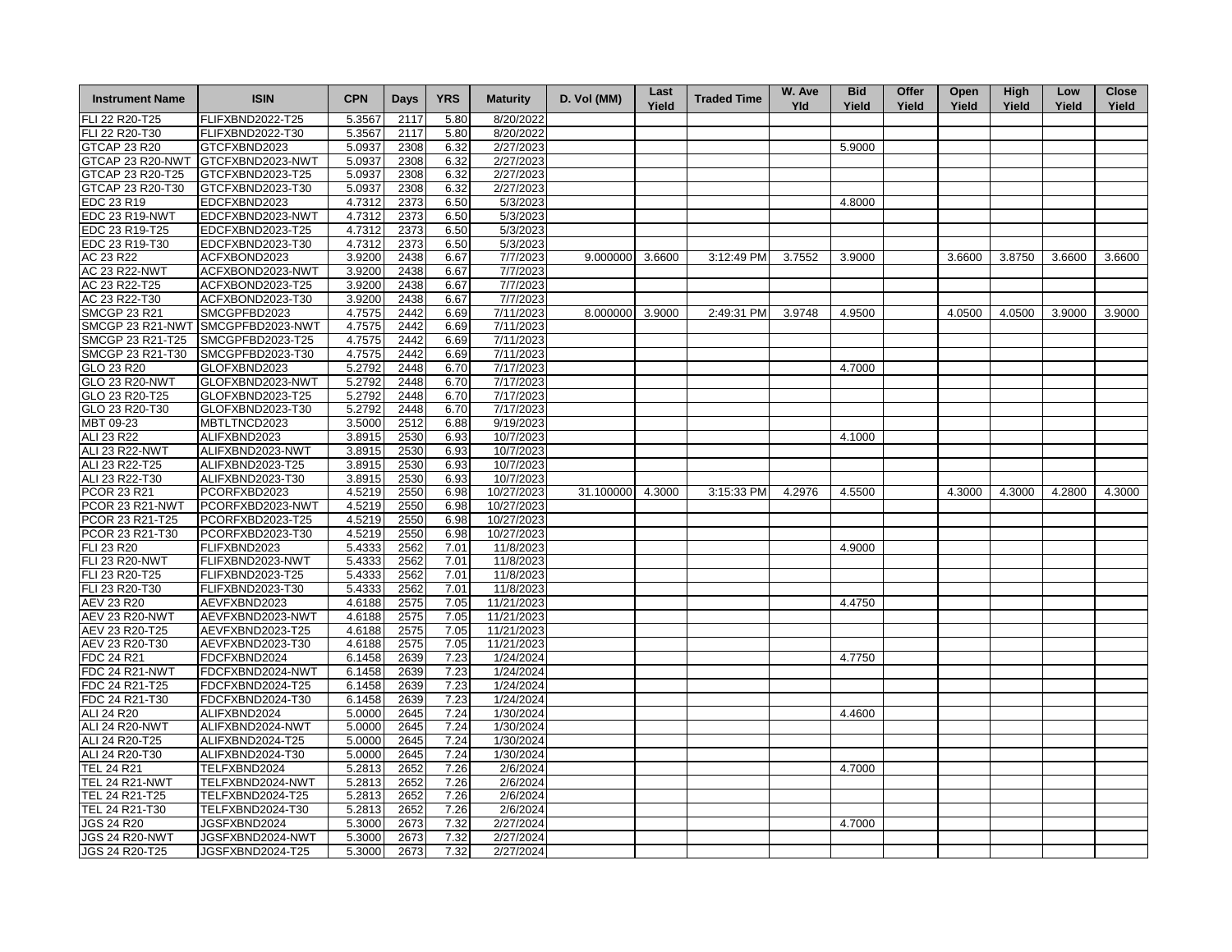| <b>Instrument Name</b>           | <b>ISIN</b>                          | <b>CPN</b>       | Days         | <b>YRS</b>   | <b>Maturity</b>        | D. Vol (MM)     | Last<br>Yield | <b>Traded Time</b> | W. Ave<br><b>Yld</b> | <b>Bid</b><br>Yield | Offer<br>Yield | Open<br>Yield | <b>High</b><br>Yield | Low<br>Yield | <b>Close</b><br>Yield |
|----------------------------------|--------------------------------------|------------------|--------------|--------------|------------------------|-----------------|---------------|--------------------|----------------------|---------------------|----------------|---------------|----------------------|--------------|-----------------------|
| FLI 22 R20-T25                   | FLIFXBND2022-T25                     | 5.3567           | 2117         | 5.80         | 8/20/2022              |                 |               |                    |                      |                     |                |               |                      |              |                       |
| FLI 22 R20-T30                   | FLIFXBND2022-T30                     | 5.3567           | 2117         | 5.80         | 8/20/2022              |                 |               |                    |                      |                     |                |               |                      |              |                       |
| GTCAP 23 R20                     | GTCFXBND2023                         | 5.0937           | 2308         | 6.32         | 2/27/2023              |                 |               |                    |                      | 5.9000              |                |               |                      |              |                       |
| GTCAP 23 R20-NWT                 | GTCFXBND2023-NWT                     | 5.0937           | 2308         | 6.32         | 2/27/2023              |                 |               |                    |                      |                     |                |               |                      |              |                       |
| GTCAP 23 R20-T25                 | GTCFXBND2023-T25                     | 5.0937           | 2308         | 6.32         | 2/27/2023              |                 |               |                    |                      |                     |                |               |                      |              |                       |
| GTCAP 23 R20-T30                 | GTCFXBND2023-T30                     | 5.0937           | 2308         | 6.32         | 2/27/2023              |                 |               |                    |                      |                     |                |               |                      |              |                       |
| EDC 23 R19                       | EDCFXBND2023                         | 4.7312           | 2373         | 6.50         | 5/3/2023               |                 |               |                    |                      | 4.8000              |                |               |                      |              |                       |
| <b>EDC 23 R19-NWT</b>            | EDCFXBND2023-NWT                     | 4.7312           | 2373         | 6.50         | 5/3/2023               |                 |               |                    |                      |                     |                |               |                      |              |                       |
| EDC 23 R19-T25                   | EDCFXBND2023-T25                     | 4.7312           | 2373         | 6.50         | 5/3/2023               |                 |               |                    |                      |                     |                |               |                      |              |                       |
| EDC 23 R19-T30                   | EDCFXBND2023-T30                     | 4.7312           | 2373         | 6.50         | 5/3/2023               |                 |               |                    |                      |                     |                |               |                      |              |                       |
| AC 23 R22                        | ACFXBOND2023                         | 3.9200           | 2438         | 6.67         | 7/7/2023               | 9.000000        | 3.6600        | 3:12:49 PM         | 3.7552               | 3.9000              |                | 3.6600        | 3.8750               | 3.6600       | 3.6600                |
| <b>AC 23 R22-NWT</b>             | ACFXBOND2023-NWT                     | 3.9200           | 2438         | 6.67         | 7/7/2023               |                 |               |                    |                      |                     |                |               |                      |              |                       |
| AC 23 R22-T25                    | ACFXBOND2023-T25                     | 3.9200           | 2438         | 6.67         | 7/7/2023               |                 |               |                    |                      |                     |                |               |                      |              |                       |
| AC 23 R22-T30                    | ACFXBOND2023-T30                     | 3.9200           | 2438         | 6.67         | 7/7/2023               |                 |               |                    |                      |                     |                |               |                      |              |                       |
| <b>SMCGP 23 R21</b>              | SMCGPFBD2023                         | 4.7575           | 2442         | 6.69         | 7/11/2023              | 8.000000 3.9000 |               | 2:49:31 PM         | 3.9748               | 4.9500              |                | 4.0500        | 4.0500               | 3.9000       | 3.9000                |
|                                  | SMCGP 23 R21-NWT SMCGPFBD2023-NWT    | 4.7575           | 2442         | 6.69         | 7/11/2023              |                 |               |                    |                      |                     |                |               |                      |              |                       |
| SMCGP 23 R21-T25                 | SMCGPFBD2023-T25                     | 4.7575           | 2442         | 6.69         | 7/11/2023              |                 |               |                    |                      |                     |                |               |                      |              |                       |
| SMCGP 23 R21-T30                 | SMCGPFBD2023-T30                     | 4.7575           | 2442         | 6.69         | 7/11/2023              |                 |               |                    |                      |                     |                |               |                      |              |                       |
| GLO 23 R20                       | GLOFXBND2023                         | 5.2792           | 2448         | 6.70         | 7/17/2023              |                 |               |                    |                      | 4.7000              |                |               |                      |              |                       |
| <b>GLO 23 R20-NWT</b>            | GLOFXBND2023-NWT                     | 5.2792           | 2448         | 6.70         | 7/17/2023              |                 |               |                    |                      |                     |                |               |                      |              |                       |
| GLO 23 R20-T25                   | GLOFXBND2023-T25                     | 5.2792           | 2448         | 6.70         | 7/17/2023              |                 |               |                    |                      |                     |                |               |                      |              |                       |
| GLO 23 R20-T30                   | GLOFXBND2023-T30                     | 5.2792           | 2448         | 6.70         | 7/17/2023              |                 |               |                    |                      |                     |                |               |                      |              |                       |
| MBT 09-23                        | MBTLTNCD2023                         | 3.5000           | 2512         | 6.88         | 9/19/2023              |                 |               |                    |                      |                     |                |               |                      |              |                       |
| ALI 23 R22                       | ALIFXBND2023                         | 3.8915           | 2530         | 6.93         | 10/7/2023              |                 |               |                    |                      | 4.1000              |                |               |                      |              |                       |
| ALI 23 R22-NWT                   | ALIFXBND2023-NWT                     | 3.8915           | 2530         | 6.93         | 10/7/2023              |                 |               |                    |                      |                     |                |               |                      |              |                       |
| ALI 23 R22-T25                   | ALIFXBND2023-T25                     | 3.8915           | 2530         | 6.93         | 10/7/2023              |                 |               |                    |                      |                     |                |               |                      |              |                       |
| ALI 23 R22-T30                   | ALIFXBND2023-T30                     | 3.8915           | 2530         | 6.93         | 10/7/2023              |                 |               |                    |                      |                     |                |               |                      |              |                       |
| PCOR 23 R21                      | PCORFXBD2023                         |                  |              | 6.98         | 10/27/2023             | 31.100000       | 4.3000        | 3:15:33 PM         | 4.2976               | 4.5500              |                | 4.3000        | 4.3000               | 4.2800       | 4.3000                |
| PCOR 23 R21-NWT                  | PCORFXBD2023-NWT                     | 4.5219<br>4.5219 | 2550<br>2550 | 6.98         | 10/27/2023             |                 |               |                    |                      |                     |                |               |                      |              |                       |
| PCOR 23 R21-T25                  | PCORFXBD2023-T25                     | 4.5219           | 2550         | 6.98         | 10/27/2023             |                 |               |                    |                      |                     |                |               |                      |              |                       |
| PCOR 23 R21-T30                  | PCORFXBD2023-T30                     | 4.5219           | 2550         | 6.98         | 10/27/2023             |                 |               |                    |                      |                     |                |               |                      |              |                       |
| FLI 23 R20                       | FLIFXBND2023                         | 5.4333           | 2562         | 7.01         | 11/8/2023              |                 |               |                    |                      | 4.9000              |                |               |                      |              |                       |
| <b>FLI 23 R20-NWT</b>            | FLIFXBND2023-NWT                     | 5.4333           | 2562         | 7.01         | 11/8/2023              |                 |               |                    |                      |                     |                |               |                      |              |                       |
| FLI 23 R20-T25                   | FLIFXBND2023-T25                     | 5.4333           | 2562         | 7.01         | 11/8/2023              |                 |               |                    |                      |                     |                |               |                      |              |                       |
| FLI 23 R20-T30                   | FLIFXBND2023-T30                     | 5.4333           | 2562         | 7.01         | 11/8/2023              |                 |               |                    |                      |                     |                |               |                      |              |                       |
| AEV 23 R20                       | AEVFXBND2023                         | 4.6188           | 2575         | 7.05         | 11/21/2023             |                 |               |                    |                      | 4.4750              |                |               |                      |              |                       |
|                                  |                                      |                  |              |              |                        |                 |               |                    |                      |                     |                |               |                      |              |                       |
| <b>AEV 23 R20-NWT</b>            | AEVFXBND2023-NWT                     | 4.6188           | 2575         | 7.05         | 11/21/2023             |                 |               |                    |                      |                     |                |               |                      |              |                       |
| AEV 23 R20-T25                   | AEVFXBND2023-T25                     | 4.6188           | 2575         | 7.05         | 11/21/2023             |                 |               |                    |                      |                     |                |               |                      |              |                       |
| AEV 23 R20-T30<br>FDC 24 R21     | AEVFXBND2023-T30                     | 4.6188           | 2575         | 7.05         | 11/21/2023             |                 |               |                    |                      |                     |                |               |                      |              |                       |
|                                  | FDCFXBND2024                         | 6.1458           | 2639         | 7.23         | 1/24/2024              |                 |               |                    |                      | 4.7750              |                |               |                      |              |                       |
| <b>FDC 24 R21-NWT</b>            | FDCFXBND2024-NWT                     | 6.1458           | 2639         | 7.23         | 1/24/2024              |                 |               |                    |                      |                     |                |               |                      |              |                       |
| FDC 24 R21-T25<br>FDC 24 R21-T30 | FDCFXBND2024-T25<br>FDCFXBND2024-T30 | 6.1458<br>6.1458 | 2639         | 7.23<br>7.23 | 1/24/2024<br>1/24/2024 |                 |               |                    |                      |                     |                |               |                      |              |                       |
| ALI 24 R20                       |                                      | 5.0000           | 2639<br>2645 | 7.24         |                        |                 |               |                    |                      |                     |                |               |                      |              |                       |
| ALI 24 R20-NWT                   | ALIFXBND2024<br>ALIFXBND2024-NWT     | 5.0000           | 2645         | 7.24         | 1/30/2024<br>1/30/2024 |                 |               |                    |                      | 4.4600              |                |               |                      |              |                       |
| ALI 24 R20-T25                   | ALIFXBND2024-T25                     | 5.0000           | 2645         | 7.24         | 1/30/2024              |                 |               |                    |                      |                     |                |               |                      |              |                       |
| ALI 24 R20-T30                   | ALIFXBND2024-T30                     | 5.0000           | 2645         | 7.24         | 1/30/2024              |                 |               |                    |                      |                     |                |               |                      |              |                       |
| <b>TEL 24 R21</b>                | TELFXBND2024                         | 5.2813           | 2652         | 7.26         | 2/6/2024               |                 |               |                    |                      | 4.7000              |                |               |                      |              |                       |
| <b>TEL 24 R21-NWT</b>            | TELFXBND2024-NWT                     | 5.2813           | 2652         | 7.26         | 2/6/2024               |                 |               |                    |                      |                     |                |               |                      |              |                       |
| TEL 24 R21-T25                   | TELFXBND2024-T25                     | 5.2813           | 2652         | 7.26         | 2/6/2024               |                 |               |                    |                      |                     |                |               |                      |              |                       |
| TEL 24 R21-T30                   | TELFXBND2024-T30                     | 5.2813           | 2652         | 7.26         | 2/6/2024               |                 |               |                    |                      |                     |                |               |                      |              |                       |
| <b>JGS 24 R20</b>                | JGSFXBND2024                         | 5.3000           | 2673         | 7.32         | 2/27/2024              |                 |               |                    |                      | 4.7000              |                |               |                      |              |                       |
|                                  |                                      |                  |              |              |                        |                 |               |                    |                      |                     |                |               |                      |              |                       |
| JGS 24 R20-NWT                   | JGSFXBND2024-NWT                     | 5.3000           | 2673         | 7.32         | 2/27/2024              |                 |               |                    |                      |                     |                |               |                      |              |                       |
| JGS 24 R20-T25                   | JGSFXBND2024-T25                     | 5.3000           | 2673         | 7.32         | 2/27/2024              |                 |               |                    |                      |                     |                |               |                      |              |                       |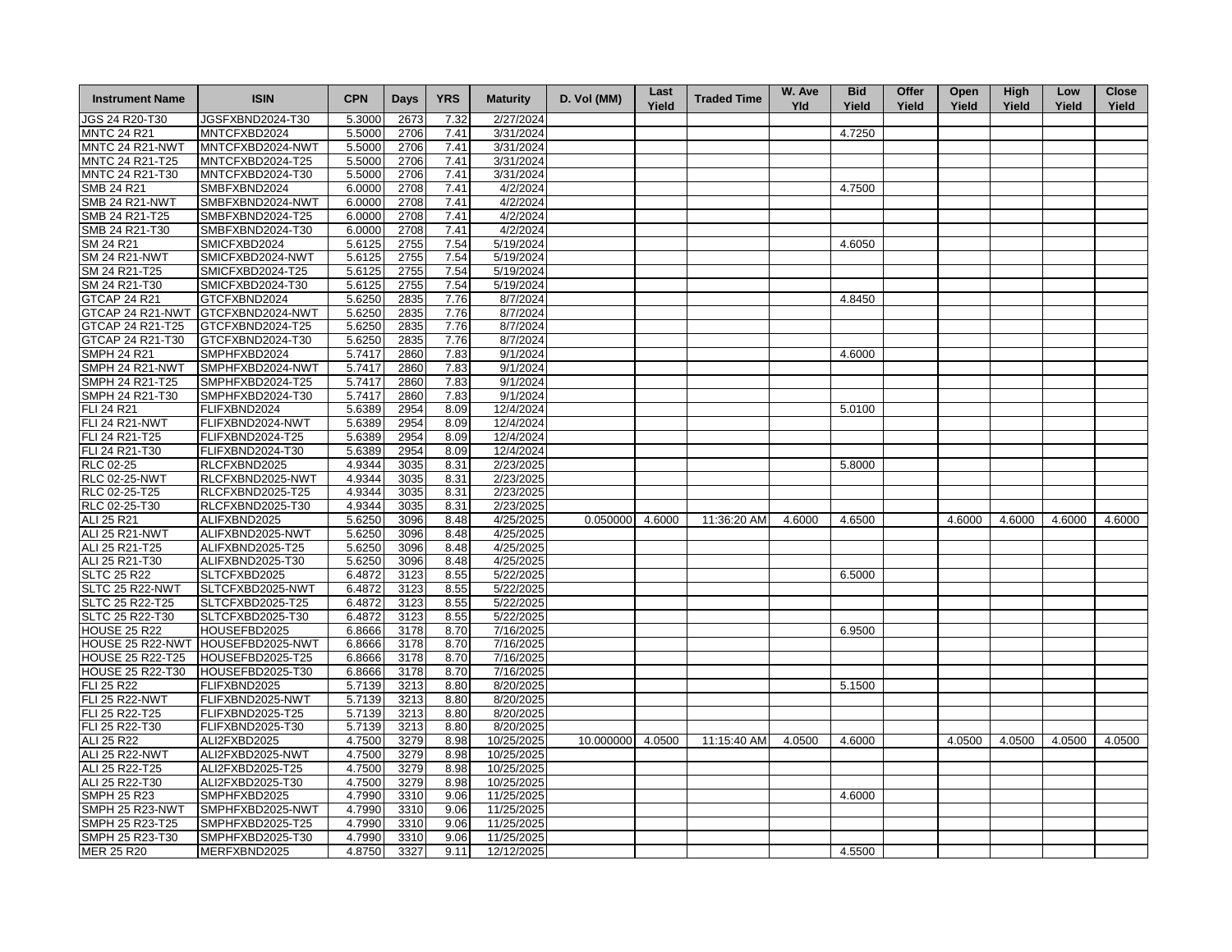| <b>Instrument Name</b>  | <b>ISIN</b>                       | <b>CPN</b>       | <b>Days</b> | <b>YRS</b> | <b>Maturity</b> | D. Vol (MM)     | Last<br>Yield | <b>Traded Time</b> | W. Ave<br><b>Yld</b> | <b>Bid</b><br>Yield | Offer<br>Yield | Open<br>Yield | <b>High</b><br>Yield | Low<br>Yield | <b>Close</b><br>Yield |
|-------------------------|-----------------------------------|------------------|-------------|------------|-----------------|-----------------|---------------|--------------------|----------------------|---------------------|----------------|---------------|----------------------|--------------|-----------------------|
| JGS 24 R20-T30          | JGSFXBND2024-T30                  | 5.3000           | 2673        | 7.32       | 2/27/2024       |                 |               |                    |                      |                     |                |               |                      |              |                       |
| <b>MNTC 24 R21</b>      | MNTCFXBD2024                      | 5.5000           | 2706        | 7.41       | 3/31/2024       |                 |               |                    |                      | 4.7250              |                |               |                      |              |                       |
| MNTC 24 R21-NWT         | MNTCFXBD2024-NWT                  | 5.5000           | 2706        | 7.41       | 3/31/2024       |                 |               |                    |                      |                     |                |               |                      |              |                       |
| MNTC 24 R21-T25         | MNTCFXBD2024-T25                  | 5.5000           | 2706        | 7.41       | 3/31/2024       |                 |               |                    |                      |                     |                |               |                      |              |                       |
| MNTC 24 R21-T30         | MNTCFXBD2024-T30                  | 5.5000           | 2706        | 7.41       | 3/31/2024       |                 |               |                    |                      |                     |                |               |                      |              |                       |
| <b>SMB 24 R21</b>       | SMBFXBND2024                      | 6.0000           | 2708        | 7.41       | 4/2/2024        |                 |               |                    |                      | 4.7500              |                |               |                      |              |                       |
| <b>SMB 24 R21-NWT</b>   | SMBFXBND2024-NWT                  | 6.0000           | 2708        | 7.41       | 4/2/2024        |                 |               |                    |                      |                     |                |               |                      |              |                       |
| SMB 24 R21-T25          | SMBFXBND2024-T25                  | 6.0000           | 2708        | 7.41       | 4/2/2024        |                 |               |                    |                      |                     |                |               |                      |              |                       |
| SMB 24 R21-T30          | SMBFXBND2024-T30                  | 6.0000           | 2708        | 7.41       | 4/2/2024        |                 |               |                    |                      |                     |                |               |                      |              |                       |
| SM 24 R21               | SMICFXBD2024                      | 5.6125           | 2755        | 7.54       | 5/19/2024       |                 |               |                    |                      | 4.6050              |                |               |                      |              |                       |
| <b>SM 24 R21-NWT</b>    | SMICFXBD2024-NWT                  | 5.6125           | 2755        | 7.54       | 5/19/2024       |                 |               |                    |                      |                     |                |               |                      |              |                       |
| SM 24 R21-T25           | SMICFXBD2024-T25                  | 5.6125           | 2755        | 7.54       | 5/19/2024       |                 |               |                    |                      |                     |                |               |                      |              |                       |
| SM 24 R21-T30           | SMICFXBD2024-T30                  | 5.6125           | 2755        | 7.54       | 5/19/2024       |                 |               |                    |                      |                     |                |               |                      |              |                       |
| GTCAP 24 R21            | GTCFXBND2024                      | 5.6250           | 2835        | 7.76       | 8/7/2024        |                 |               |                    |                      | 4.8450              |                |               |                      |              |                       |
| GTCAP 24 R21-NWT        | GTCFXBND2024-NWT                  | 5.6250           | 2835        | 7.76       | 8/7/2024        |                 |               |                    |                      |                     |                |               |                      |              |                       |
| GTCAP 24 R21-T25        | GTCFXBND2024-T25                  | 5.6250           | 2835        | 7.76       | 8/7/2024        |                 |               |                    |                      |                     |                |               |                      |              |                       |
| GTCAP 24 R21-T30        | GTCFXBND2024-T30                  | 5.6250           | 2835        | 7.76       | 8/7/2024        |                 |               |                    |                      |                     |                |               |                      |              |                       |
| <b>SMPH 24 R21</b>      | SMPHFXBD2024                      |                  | 2860        | 7.83       | 9/1/2024        |                 |               |                    |                      | 4.6000              |                |               |                      |              |                       |
| SMPH 24 R21-NWT         | SMPHFXBD2024-NWT                  | 5.7417<br>5.7417 | 2860        | 7.83       | 9/1/2024        |                 |               |                    |                      |                     |                |               |                      |              |                       |
|                         |                                   |                  |             |            |                 |                 |               |                    |                      |                     |                |               |                      |              |                       |
| SMPH 24 R21-T25         | SMPHFXBD2024-T25                  | 5.7417           | 2860        | 7.83       | 9/1/2024        |                 |               |                    |                      |                     |                |               |                      |              |                       |
| SMPH 24 R21-T30         | SMPHFXBD2024-T30                  | 5.7417           | 2860        | 7.83       | 9/1/2024        |                 |               |                    |                      |                     |                |               |                      |              |                       |
| <b>FLI 24 R21</b>       | FLIFXBND2024                      | 5.6389           | 2954        | 8.09       | 12/4/2024       |                 |               |                    |                      | 5.0100              |                |               |                      |              |                       |
| FLI 24 R21-NWT          | FLIFXBND2024-NWT                  | 5.6389           | 2954        | 8.09       | 12/4/2024       |                 |               |                    |                      |                     |                |               |                      |              |                       |
| FLI 24 R21-T25          | FLIFXBND2024-T25                  | 5.6389           | 2954        | 8.09       | 12/4/2024       |                 |               |                    |                      |                     |                |               |                      |              |                       |
| FLI 24 R21-T30          | FLIFXBND2024-T30                  | 5.6389           | 2954        | 8.09       | 12/4/2024       |                 |               |                    |                      |                     |                |               |                      |              |                       |
| RLC 02-25               | RLCFXBND2025                      | 4.9344           | 3035        | 8.31       | 2/23/2025       |                 |               |                    |                      | 5.8000              |                |               |                      |              |                       |
| <b>RLC 02-25-NWT</b>    | RLCFXBND2025-NWT                  | 4.9344           | 3035        | 8.31       | 2/23/2025       |                 |               |                    |                      |                     |                |               |                      |              |                       |
| RLC 02-25-T25           | RLCFXBND2025-T25                  | 4.9344           | 3035        | 8.31       | 2/23/2025       |                 |               |                    |                      |                     |                |               |                      |              |                       |
| RLC 02-25-T30           | RLCFXBND2025-T30                  | 4.9344           | 3035        | 8.31       | 2/23/2025       |                 |               |                    |                      |                     |                |               |                      |              |                       |
| ALI 25 R21              | ALIFXBND2025                      | 5.6250           | 3096        | 8.48       | 4/25/2025       | 0.050000 4.6000 |               | 11:36:20 AM        | 4.6000               | 4.6500              |                | 4.6000        | 4.6000               | 4.6000       | 4.6000                |
| ALI 25 R21-NWT          | ALIFXBND2025-NWT                  | 5.6250           | 3096        | 8.48       | 4/25/2025       |                 |               |                    |                      |                     |                |               |                      |              |                       |
| ALI 25 R21-T25          | ALIFXBND2025-T25                  | 5.6250           | 3096        | 8.48       | 4/25/2025       |                 |               |                    |                      |                     |                |               |                      |              |                       |
| ALI 25 R21-T30          | ALIFXBND2025-T30                  | 5.6250           | 3096        | 8.48       | 4/25/2025       |                 |               |                    |                      |                     |                |               |                      |              |                       |
| <b>SLTC 25 R22</b>      | SLTCFXBD2025                      | 6.4872           | 3123        | 8.55       | 5/22/2025       |                 |               |                    |                      | 6.5000              |                |               |                      |              |                       |
| SLTC 25 R22-NWT         | SLTCFXBD2025-NWT                  | 6.4872           | 3123        | 8.55       | 5/22/2025       |                 |               |                    |                      |                     |                |               |                      |              |                       |
| SLTC 25 R22-T25         | SLTCFXBD2025-T25                  | 6.4872           | 3123        | 8.55       | 5/22/2025       |                 |               |                    |                      |                     |                |               |                      |              |                       |
| SLTC 25 R22-T30         | SLTCFXBD2025-T30                  | 6.4872           | 3123        | 8.55       | 5/22/2025       |                 |               |                    |                      |                     |                |               |                      |              |                       |
| <b>HOUSE 25 R22</b>     | HOUSEFBD2025                      | 6.8666           | 3178        | 8.70       | 7/16/2025       |                 |               |                    |                      | 6.9500              |                |               |                      |              |                       |
|                         | HOUSE 25 R22-NWT HOUSEFBD2025-NWT | 6.8666           | 3178        | 8.70       | 7/16/2025       |                 |               |                    |                      |                     |                |               |                      |              |                       |
| HOUSE 25 R22-T25        | HOUSEFBD2025-T25                  | 6.8666           | 3178        | 8.70       | 7/16/2025       |                 |               |                    |                      |                     |                |               |                      |              |                       |
| <b>HOUSE 25 R22-T30</b> | HOUSEFBD2025-T30                  | 6.8666           | 3178        | 8.70       | 7/16/2025       |                 |               |                    |                      |                     |                |               |                      |              |                       |
| <b>FLI 25 R22</b>       | FLIFXBND2025                      | 5.7139           | 3213        | 8.80       | 8/20/2025       |                 |               |                    |                      | 5.1500              |                |               |                      |              |                       |
| <b>FLI 25 R22-NWT</b>   | FLIFXBND2025-NWT                  | 5.7139           | 3213        | 8.80       | 8/20/2025       |                 |               |                    |                      |                     |                |               |                      |              |                       |
| FLI 25 R22-T25          | FLIFXBND2025-T25                  | 5.7139           | 3213        | 8.80       | 8/20/2025       |                 |               |                    |                      |                     |                |               |                      |              |                       |
| FLI 25 R22-T30          | FLIFXBND2025-T30                  | 5.7139           | 3213        | 8.80       | 8/20/2025       |                 |               |                    |                      |                     |                |               |                      |              |                       |
| ALI 25 R22              | ALI2FXBD2025                      | 4.7500           | 3279        | 8.98       | 10/25/2025      | 10.000000       | 4.0500        | 11:15:40 AM        | 4.0500               | 4.6000              |                | 4.0500        | 4.0500               | 4.0500       | 4.0500                |
| <b>ALI 25 R22-NWT</b>   | ALI2FXBD2025-NWT                  | 4.7500           | 3279        | 8.98       | 10/25/2025      |                 |               |                    |                      |                     |                |               |                      |              |                       |
| ALI 25 R22-T25          | ALI2FXBD2025-T25                  | 4.7500           | 3279        | 8.98       | 10/25/2025      |                 |               |                    |                      |                     |                |               |                      |              |                       |
| ALI 25 R22-T30          | ALI2FXBD2025-T30                  | 4.7500           | 3279        | 8.98       | 10/25/2025      |                 |               |                    |                      |                     |                |               |                      |              |                       |
| <b>SMPH 25 R23</b>      | SMPHFXBD2025                      | 4.7990           | 3310        | 9.06       | 11/25/2025      |                 |               |                    |                      | 4.6000              |                |               |                      |              |                       |
| SMPH 25 R23-NWT         | SMPHFXBD2025-NWT                  | 4.7990           | 3310        | 9.06       | 11/25/2025      |                 |               |                    |                      |                     |                |               |                      |              |                       |
| SMPH 25 R23-T25         | SMPHFXBD2025-T25                  | 4.7990           | 3310        | 9.06       | 11/25/2025      |                 |               |                    |                      |                     |                |               |                      |              |                       |
| SMPH 25 R23-T30         | SMPHFXBD2025-T30                  | 4.7990           | 3310        | 9.06       | 11/25/2025      |                 |               |                    |                      |                     |                |               |                      |              |                       |
| <b>MER 25 R20</b>       | MERFXBND2025                      | 4.8750           | 3327        | 9.11       | 12/12/2025      |                 |               |                    |                      | 4.5500              |                |               |                      |              |                       |
|                         |                                   |                  |             |            |                 |                 |               |                    |                      |                     |                |               |                      |              |                       |